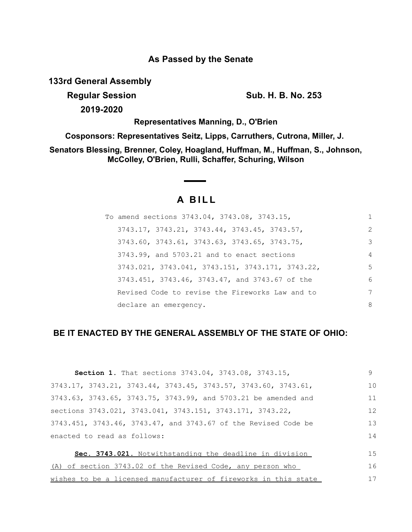## **As Passed by the Senate**

**133rd General Assembly**

**Regular Session Sub. H. B. No. 253**

**2019-2020**

**Representatives Manning, D., O'Brien**

**Cosponsors: Representatives Seitz, Lipps, Carruthers, Cutrona, Miller, J.** 

**Senators Blessing, Brenner, Coley, Hoagland, Huffman, M., Huffman, S., Johnson, McColley, O'Brien, Rulli, Schaffer, Schuring, Wilson**

# **A B I L L**

| To amend sections 3743.04, 3743.08, 3743.15,     | 1  |
|--------------------------------------------------|----|
| 3743.17, 3743.21, 3743.44, 3743.45, 3743.57,     | 2  |
| 3743.60, 3743.61, 3743.63, 3743.65, 3743.75,     | 3  |
| 3743.99, and 5703.21 and to enact sections       | 4  |
| 3743.021, 3743.041, 3743.151, 3743.171, 3743.22, | .5 |
| 3743.451, 3743.46, 3743.47, and 3743.67 of the   | 6  |
| Revised Code to revise the Fireworks Law and to  | 7  |
| declare an emergency.                            | 8  |

# **BE IT ENACTED BY THE GENERAL ASSEMBLY OF THE STATE OF OHIO:**

| <b>Section 1.</b> That sections 3743.04, 3743.08, 3743.15,                          | 9  |
|-------------------------------------------------------------------------------------|----|
| $3743.17$ , $3743.21$ , $3743.44$ , $3743.45$ , $3743.57$ , $3743.60$ , $3743.61$ , | 10 |
| 3743.63, 3743.65, 3743.75, 3743.99, and 5703.21 be amended and                      | 11 |
| sections 3743.021, 3743.041, 3743.151, 3743.171, 3743.22,                           | 12 |
| 3743.451, 3743.46, 3743.47, and 3743.67 of the Revised Code be                      | 13 |
| enacted to read as follows:                                                         | 14 |
|                                                                                     |    |
| Sec. 3743.021. Notwithstanding the deadline in division                             | 15 |
| (A) of section 3743.02 of the Revised Code, any person who                          | 16 |
| wishes to be a licensed manufacturer of fireworks in this state                     | 17 |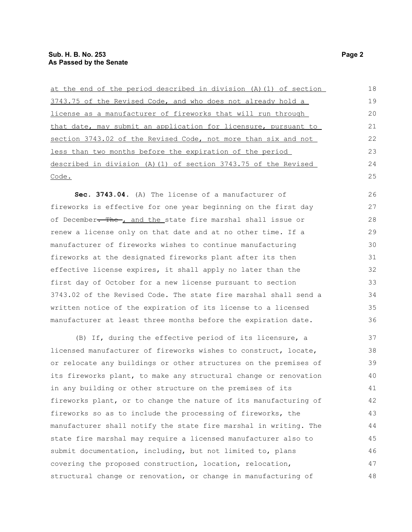| 3743.75 of the Revised Code, and who does not already hold a<br>license as a manufacturer of fireworks that will run through<br>that date, may submit an application for licensure, pursuant to<br>section 3743.02 of the Revised Code, not more than six and not<br>less than two months before the expiration of the period<br>described in division (A)(1) of section 3743.75 of the Revised<br>Code.<br>26<br>Sec. 3743.04. (A) The license of a manufacturer of | at the end of the period described in division (A) (1) of section | 18 |
|----------------------------------------------------------------------------------------------------------------------------------------------------------------------------------------------------------------------------------------------------------------------------------------------------------------------------------------------------------------------------------------------------------------------------------------------------------------------|-------------------------------------------------------------------|----|
|                                                                                                                                                                                                                                                                                                                                                                                                                                                                      |                                                                   | 19 |
|                                                                                                                                                                                                                                                                                                                                                                                                                                                                      |                                                                   | 20 |
|                                                                                                                                                                                                                                                                                                                                                                                                                                                                      |                                                                   | 21 |
|                                                                                                                                                                                                                                                                                                                                                                                                                                                                      |                                                                   | 22 |
|                                                                                                                                                                                                                                                                                                                                                                                                                                                                      |                                                                   | 23 |
|                                                                                                                                                                                                                                                                                                                                                                                                                                                                      |                                                                   | 24 |
|                                                                                                                                                                                                                                                                                                                                                                                                                                                                      |                                                                   | 25 |
|                                                                                                                                                                                                                                                                                                                                                                                                                                                                      |                                                                   |    |
|                                                                                                                                                                                                                                                                                                                                                                                                                                                                      |                                                                   |    |

fireworks is effective for one year beginning on the first day of December. The , and the state fire marshal shall issue or renew a license only on that date and at no other time. If a manufacturer of fireworks wishes to continue manufacturing fireworks at the designated fireworks plant after its then effective license expires, it shall apply no later than the first day of October for a new license pursuant to section 3743.02 of the Revised Code. The state fire marshal shall send a written notice of the expiration of its license to a licensed manufacturer at least three months before the expiration date. 27 28 29 30 31 32 33 34 35 36

(B) If, during the effective period of its licensure, a licensed manufacturer of fireworks wishes to construct, locate, or relocate any buildings or other structures on the premises of its fireworks plant, to make any structural change or renovation in any building or other structure on the premises of its fireworks plant, or to change the nature of its manufacturing of fireworks so as to include the processing of fireworks, the manufacturer shall notify the state fire marshal in writing. The state fire marshal may require a licensed manufacturer also to submit documentation, including, but not limited to, plans covering the proposed construction, location, relocation, structural change or renovation, or change in manufacturing of 37 38 39 40 41 42 43 44 45 46 47 48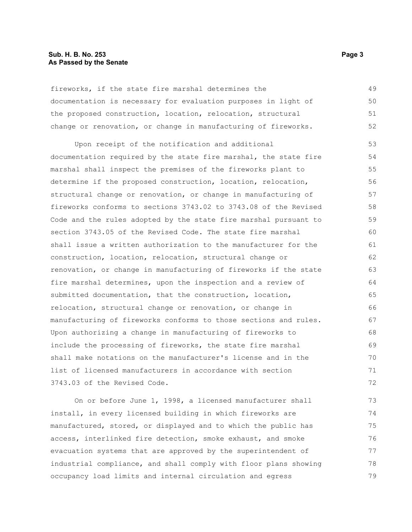### **Sub. H. B. No. 253 Page 3 As Passed by the Senate**

fireworks, if the state fire marshal determines the documentation is necessary for evaluation purposes in light of the proposed construction, location, relocation, structural change or renovation, or change in manufacturing of fireworks. 49 50 51 52

Upon receipt of the notification and additional documentation required by the state fire marshal, the state fire marshal shall inspect the premises of the fireworks plant to determine if the proposed construction, location, relocation, structural change or renovation, or change in manufacturing of fireworks conforms to sections 3743.02 to 3743.08 of the Revised Code and the rules adopted by the state fire marshal pursuant to section 3743.05 of the Revised Code. The state fire marshal shall issue a written authorization to the manufacturer for the construction, location, relocation, structural change or renovation, or change in manufacturing of fireworks if the state fire marshal determines, upon the inspection and a review of submitted documentation, that the construction, location, relocation, structural change or renovation, or change in manufacturing of fireworks conforms to those sections and rules. Upon authorizing a change in manufacturing of fireworks to include the processing of fireworks, the state fire marshal shall make notations on the manufacturer's license and in the list of licensed manufacturers in accordance with section 3743.03 of the Revised Code. 53 54 55 56 57 58 59 60 61 62 63 64 65 66 67 68 69 70 71 72

On or before June 1, 1998, a licensed manufacturer shall install, in every licensed building in which fireworks are manufactured, stored, or displayed and to which the public has access, interlinked fire detection, smoke exhaust, and smoke evacuation systems that are approved by the superintendent of industrial compliance, and shall comply with floor plans showing occupancy load limits and internal circulation and egress 73 74 75 76 77 78 79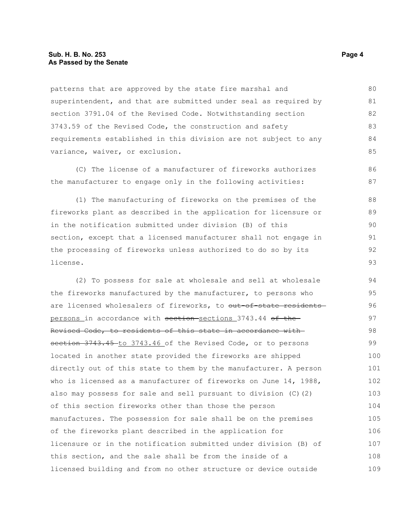### **Sub. H. B. No. 253 Page 4 As Passed by the Senate**

patterns that are approved by the state fire marshal and superintendent, and that are submitted under seal as required by section 3791.04 of the Revised Code. Notwithstanding section 3743.59 of the Revised Code, the construction and safety requirements established in this division are not subject to any variance, waiver, or exclusion. 80 81 82 83 84 85

(C) The license of a manufacturer of fireworks authorizes the manufacturer to engage only in the following activities:

(1) The manufacturing of fireworks on the premises of the fireworks plant as described in the application for licensure or in the notification submitted under division (B) of this section, except that a licensed manufacturer shall not engage in the processing of fireworks unless authorized to do so by its license. 88 89 90 91 92 93

(2) To possess for sale at wholesale and sell at wholesale the fireworks manufactured by the manufacturer, to persons who are licensed wholesalers of fireworks, to out of state residents persons in accordance with section-sections 3743.44 of the-Revised Code, to residents of this state in accordance with section 3743.45 to 3743.46 of the Revised Code, or to persons located in another state provided the fireworks are shipped directly out of this state to them by the manufacturer. A person who is licensed as a manufacturer of fireworks on June 14, 1988, also may possess for sale and sell pursuant to division (C)(2) of this section fireworks other than those the person manufactures. The possession for sale shall be on the premises of the fireworks plant described in the application for licensure or in the notification submitted under division (B) of this section, and the sale shall be from the inside of a licensed building and from no other structure or device outside 94 95 96 97 98 99 100 101 102 103 104 105 106 107 108 109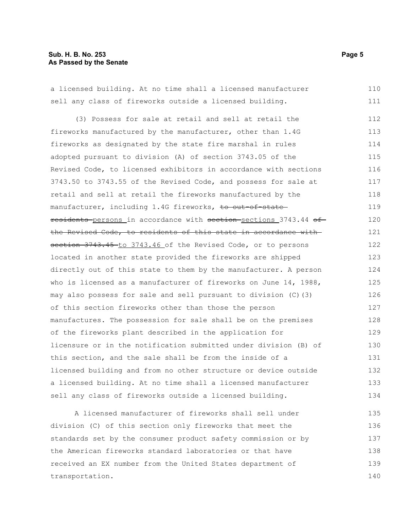### **Sub. H. B. No. 253 Page 5 As Passed by the Senate**

a licensed building. At no time shall a licensed manufacturer sell any class of fireworks outside a licensed building. (3) Possess for sale at retail and sell at retail the fireworks manufactured by the manufacturer, other than 1.4G fireworks as designated by the state fire marshal in rules adopted pursuant to division (A) of section 3743.05 of the Revised Code, to licensed exhibitors in accordance with sections 3743.50 to 3743.55 of the Revised Code, and possess for sale at retail and sell at retail the fireworks manufactured by the manufacturer, including 1.4G fireworks, to out-of-state residents persons in accordance with section-sections 3743.44 of the Revised Code, to residents of this state in accordance with section 3743.45-to 3743.46 of the Revised Code, or to persons located in another state provided the fireworks are shipped directly out of this state to them by the manufacturer. A person who is licensed as a manufacturer of fireworks on June 14, 1988, may also possess for sale and sell pursuant to division (C)(3) of this section fireworks other than those the person manufactures. The possession for sale shall be on the premises of the fireworks plant described in the application for licensure or in the notification submitted under division (B) of this section, and the sale shall be from the inside of a licensed building and from no other structure or device outside a licensed building. At no time shall a licensed manufacturer sell any class of fireworks outside a licensed building. 110 111 112 113 114 115 116 117 118 119 120 121 122 123 124 125 126 127 128 129 130 131 132 133 134

A licensed manufacturer of fireworks shall sell under division (C) of this section only fireworks that meet the standards set by the consumer product safety commission or by the American fireworks standard laboratories or that have received an EX number from the United States department of transportation. 135 136 137 138 139 140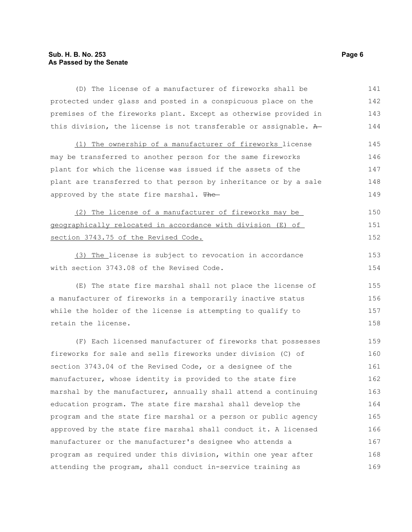### **Sub. H. B. No. 253 Page 6 As Passed by the Senate**

| (D) The license of a manufacturer of fireworks shall be           | 141 |
|-------------------------------------------------------------------|-----|
| protected under glass and posted in a conspicuous place on the    | 142 |
| premises of the fireworks plant. Except as otherwise provided in  | 143 |
| this division, the license is not transferable or assignable. $A$ | 144 |
| (1) The ownership of a manufacturer of fireworks license          | 145 |
| may be transferred to another person for the same fireworks       | 146 |
| plant for which the license was issued if the assets of the       | 147 |
| plant are transferred to that person by inheritance or by a sale  | 148 |
| approved by the state fire marshal. The-                          | 149 |
| (2) The license of a manufacturer of fireworks may be             | 150 |
| geographically relocated in accordance with division (E) of       | 151 |
| section 3743.75 of the Revised Code.                              | 152 |
| (3) The license is subject to revocation in accordance            | 153 |
| with section 3743.08 of the Revised Code.                         | 154 |
| (E) The state fire marshal shall not place the license of         | 155 |
| a manufacturer of fireworks in a temporarily inactive status      | 156 |
| while the holder of the license is attempting to qualify to       | 157 |
| retain the license.                                               | 158 |
| (F) Each licensed manufacturer of fireworks that possesses        | 159 |
| fireworks for sale and sells fireworks under division (C) of      | 160 |
| section 3743.04 of the Revised Code, or a designee of the         | 161 |
| manufacturer, whose identity is provided to the state fire        | 162 |
| marshal by the manufacturer, annually shall attend a continuing   | 163 |
| education program. The state fire marshal shall develop the       | 164 |
| program and the state fire marshal or a person or public agency   | 165 |
| approved by the state fire marshal shall conduct it. A licensed   | 166 |
| manufacturer or the manufacturer's designee who attends a         | 167 |
| program as required under this division, within one year after    | 168 |
| attending the program, shall conduct in-service training as       | 169 |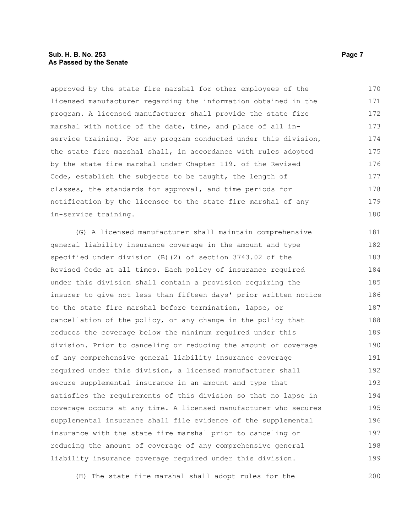### **Sub. H. B. No. 253 Page 7 As Passed by the Senate**

approved by the state fire marshal for other employees of the licensed manufacturer regarding the information obtained in the program. A licensed manufacturer shall provide the state fire marshal with notice of the date, time, and place of all inservice training. For any program conducted under this division, the state fire marshal shall, in accordance with rules adopted by the state fire marshal under Chapter 119. of the Revised Code, establish the subjects to be taught, the length of classes, the standards for approval, and time periods for notification by the licensee to the state fire marshal of any in-service training. 170 171 172 173 174 175 176 177 178 179 180

(G) A licensed manufacturer shall maintain comprehensive general liability insurance coverage in the amount and type specified under division (B)(2) of section 3743.02 of the Revised Code at all times. Each policy of insurance required under this division shall contain a provision requiring the insurer to give not less than fifteen days' prior written notice to the state fire marshal before termination, lapse, or cancellation of the policy, or any change in the policy that reduces the coverage below the minimum required under this division. Prior to canceling or reducing the amount of coverage of any comprehensive general liability insurance coverage required under this division, a licensed manufacturer shall secure supplemental insurance in an amount and type that satisfies the requirements of this division so that no lapse in coverage occurs at any time. A licensed manufacturer who secures supplemental insurance shall file evidence of the supplemental insurance with the state fire marshal prior to canceling or reducing the amount of coverage of any comprehensive general liability insurance coverage required under this division. 181 182 183 184 185 186 187 188 189 190 191 192 193 194 195 196 197 198 199

(H) The state fire marshal shall adopt rules for the 200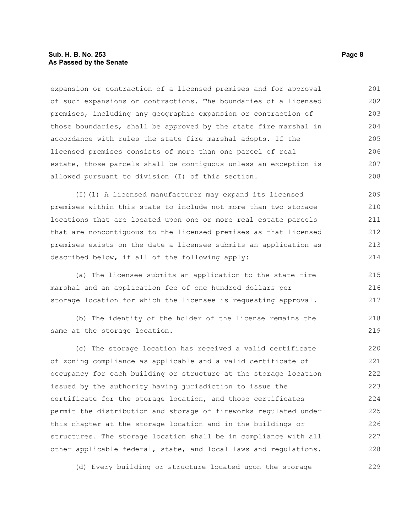### **Sub. H. B. No. 253 Page 8 As Passed by the Senate**

expansion or contraction of a licensed premises and for approval of such expansions or contractions. The boundaries of a licensed premises, including any geographic expansion or contraction of those boundaries, shall be approved by the state fire marshal in accordance with rules the state fire marshal adopts. If the licensed premises consists of more than one parcel of real estate, those parcels shall be contiguous unless an exception is allowed pursuant to division (I) of this section. 201 202 203 204 205 206 207 208

(I)(1) A licensed manufacturer may expand its licensed premises within this state to include not more than two storage locations that are located upon one or more real estate parcels that are noncontiguous to the licensed premises as that licensed premises exists on the date a licensee submits an application as described below, if all of the following apply: 209 210 211 212 213 214

(a) The licensee submits an application to the state fire marshal and an application fee of one hundred dollars per storage location for which the licensee is requesting approval. 215 216 217

(b) The identity of the holder of the license remains the same at the storage location. 218 219

(c) The storage location has received a valid certificate of zoning compliance as applicable and a valid certificate of occupancy for each building or structure at the storage location issued by the authority having jurisdiction to issue the certificate for the storage location, and those certificates permit the distribution and storage of fireworks regulated under this chapter at the storage location and in the buildings or structures. The storage location shall be in compliance with all other applicable federal, state, and local laws and regulations. 220 221 222 223 224 225 226 227 228

(d) Every building or structure located upon the storage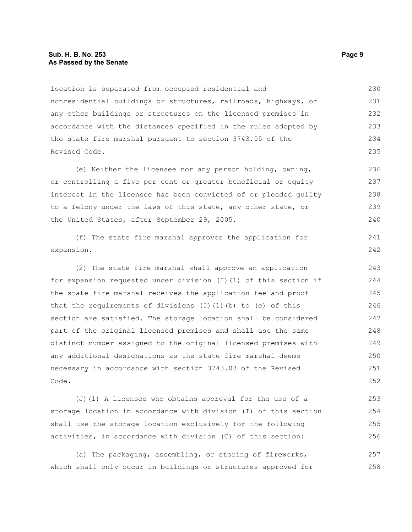### **Sub. H. B. No. 253 Page 9 As Passed by the Senate**

location is separated from occupied residential and nonresidential buildings or structures, railroads, highways, or any other buildings or structures on the licensed premises in accordance with the distances specified in the rules adopted by the state fire marshal pursuant to section 3743.05 of the Revised Code. 230 231 232 233 234 235

(e) Neither the licensee nor any person holding, owning, or controlling a five per cent or greater beneficial or equity interest in the licensee has been convicted of or pleaded guilty to a felony under the laws of this state, any other state, or the United States, after September 29, 2005.

(f) The state fire marshal approves the application for expansion.

(2) The state fire marshal shall approve an application for expansion requested under division (I)(1) of this section if the state fire marshal receives the application fee and proof that the requirements of divisions  $(I)$   $(I)$   $(b)$  to  $(e)$  of this section are satisfied. The storage location shall be considered part of the original licensed premises and shall use the same distinct number assigned to the original licensed premises with any additional designations as the state fire marshal deems necessary in accordance with section 3743.03 of the Revised Code. 243 244 245 246 247 248 249 250 251 252

(J)(1) A licensee who obtains approval for the use of a storage location in accordance with division (I) of this section shall use the storage location exclusively for the following activities, in accordance with division (C) of this section: 253 254 255 256

(a) The packaging, assembling, or storing of fireworks, which shall only occur in buildings or structures approved for 257 258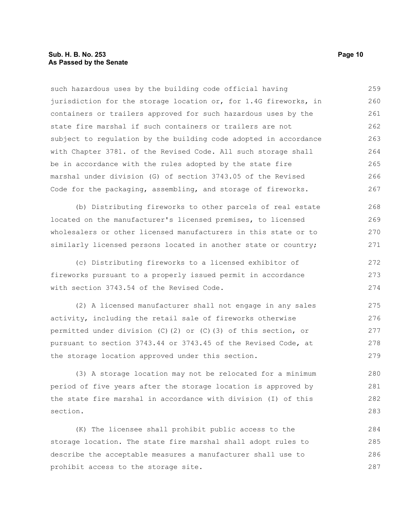### **Sub. H. B. No. 253 Page 10 As Passed by the Senate**

such hazardous uses by the building code official having jurisdiction for the storage location or, for 1.4G fireworks, in containers or trailers approved for such hazardous uses by the state fire marshal if such containers or trailers are not subject to regulation by the building code adopted in accordance with Chapter 3781. of the Revised Code. All such storage shall be in accordance with the rules adopted by the state fire marshal under division (G) of section 3743.05 of the Revised Code for the packaging, assembling, and storage of fireworks. 259 260 261 262 263 264 265 266 267

(b) Distributing fireworks to other parcels of real estate located on the manufacturer's licensed premises, to licensed wholesalers or other licensed manufacturers in this state or to similarly licensed persons located in another state or country; 268 269 270 271

(c) Distributing fireworks to a licensed exhibitor of fireworks pursuant to a properly issued permit in accordance with section 3743.54 of the Revised Code. 272 273 274

(2) A licensed manufacturer shall not engage in any sales activity, including the retail sale of fireworks otherwise permitted under division (C)(2) or (C)(3) of this section, or pursuant to section 3743.44 or 3743.45 of the Revised Code, at the storage location approved under this section. 275 276 277 278 279

(3) A storage location may not be relocated for a minimum period of five years after the storage location is approved by the state fire marshal in accordance with division (I) of this section.

(K) The licensee shall prohibit public access to the storage location. The state fire marshal shall adopt rules to describe the acceptable measures a manufacturer shall use to prohibit access to the storage site. 284 285 286 287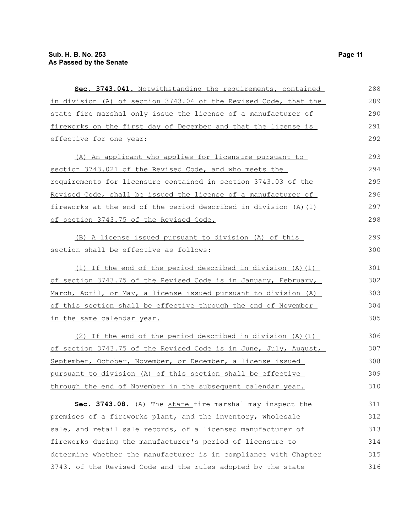| Sec. 3743.041. Notwithstanding the requirements, contained       | 288 |
|------------------------------------------------------------------|-----|
| in division (A) of section 3743.04 of the Revised Code, that the | 289 |
| state fire marshal only issue the license of a manufacturer of   | 290 |
| fireworks on the first day of December and that the license is   | 291 |
| effective for one year:                                          | 292 |
| (A) An applicant who applies for licensure pursuant to           | 293 |
| section 3743.021 of the Revised Code, and who meets the          | 294 |
| requirements for licensure contained in section 3743.03 of the   | 295 |
| Revised Code, shall be issued the license of a manufacturer of   | 296 |
| fireworks at the end of the period described in division (A) (1) | 297 |
| of section 3743.75 of the Revised Code.                          | 298 |
| (B) A license issued pursuant to division (A) of this            | 299 |
| section shall be effective as follows:                           | 300 |
| (1) If the end of the period described in division (A) (1)       | 301 |
| of section 3743.75 of the Revised Code is in January, February,  | 302 |
| March, April, or May, a license issued pursuant to division (A)  | 303 |
| of this section shall be effective through the end of November   | 304 |
| in the same calendar year.                                       | 305 |
| (2) If the end of the period described in division (A)(1)        | 306 |
| of section 3743.75 of the Revised Code is in June, July, August, | 307 |
| September, October, November, or December, a license issued      | 308 |
| pursuant to division (A) of this section shall be effective      | 309 |
| through the end of November in the subsequent calendar year.     | 310 |
| Sec. 3743.08. (A) The state fire marshal may inspect the         | 311 |
| premises of a fireworks plant, and the inventory, wholesale      | 312 |
| sale, and retail sale records, of a licensed manufacturer of     | 313 |
| fireworks during the manufacturer's period of licensure to       | 314 |
| determine whether the manufacturer is in compliance with Chapter | 315 |
| 3743. of the Revised Code and the rules adopted by the state     | 316 |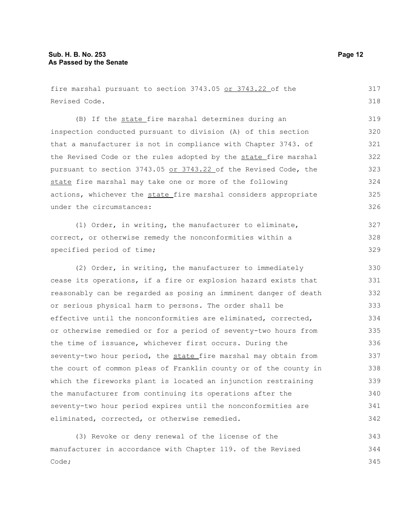fire marshal pursuant to section 3743.05 or 3743.22 of the Revised Code. (B) If the state fire marshal determines during an inspection conducted pursuant to division (A) of this section that a manufacturer is not in compliance with Chapter 3743. of the Revised Code or the rules adopted by the state fire marshal pursuant to section 3743.05 or 3743.22 of the Revised Code, the state fire marshal may take one or more of the following actions, whichever the state fire marshal considers appropriate under the circumstances: (1) Order, in writing, the manufacturer to eliminate, correct, or otherwise remedy the nonconformities within a specified period of time; (2) Order, in writing, the manufacturer to immediately cease its operations, if a fire or explosion hazard exists that reasonably can be regarded as posing an imminent danger of death or serious physical harm to persons. The order shall be effective until the nonconformities are eliminated, corrected, or otherwise remedied or for a period of seventy-two hours from the time of issuance, whichever first occurs. During the seventy-two hour period, the state fire marshal may obtain from the court of common pleas of Franklin county or of the county in which the fireworks plant is located an injunction restraining 317 318 319 320 321 322 323 324 325 326 327 328 329 330 331 332 333 334 335 336 337 338 339

the manufacturer from continuing its operations after the seventy-two hour period expires until the nonconformities are eliminated, corrected, or otherwise remedied. 340 341 342

(3) Revoke or deny renewal of the license of the manufacturer in accordance with Chapter 119. of the Revised Code; 343 344 345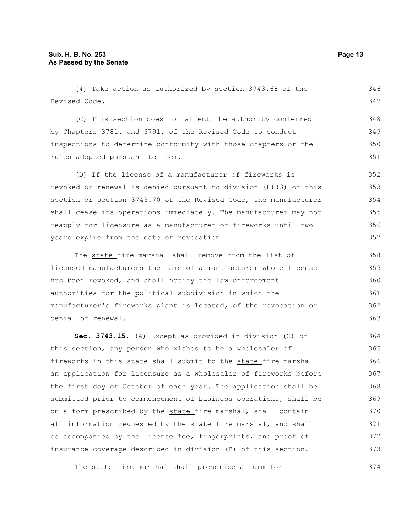(4) Take action as authorized by section 3743.68 of the Revised Code. 346 347

(C) This section does not affect the authority conferred by Chapters 3781. and 3791. of the Revised Code to conduct inspections to determine conformity with those chapters or the rules adopted pursuant to them. 348 349 350 351

(D) If the license of a manufacturer of fireworks is revoked or renewal is denied pursuant to division (B)(3) of this section or section 3743.70 of the Revised Code, the manufacturer shall cease its operations immediately. The manufacturer may not reapply for licensure as a manufacturer of fireworks until two years expire from the date of revocation. 352 353 354 355 356 357

The state fire marshal shall remove from the list of licensed manufacturers the name of a manufacturer whose license has been revoked, and shall notify the law enforcement authorities for the political subdivision in which the manufacturer's fireworks plant is located, of the revocation or denial of renewal. 358 359 360 361 362 363

**Sec. 3743.15.** (A) Except as provided in division (C) of this section, any person who wishes to be a wholesaler of fireworks in this state shall submit to the state fire marshal an application for licensure as a wholesaler of fireworks before the first day of October of each year. The application shall be submitted prior to commencement of business operations, shall be on a form prescribed by the state fire marshal, shall contain all information requested by the state fire marshal, and shall be accompanied by the license fee, fingerprints, and proof of insurance coverage described in division (B) of this section. 364 365 366 367 368 369 370 371 372 373

The state fire marshal shall prescribe a form for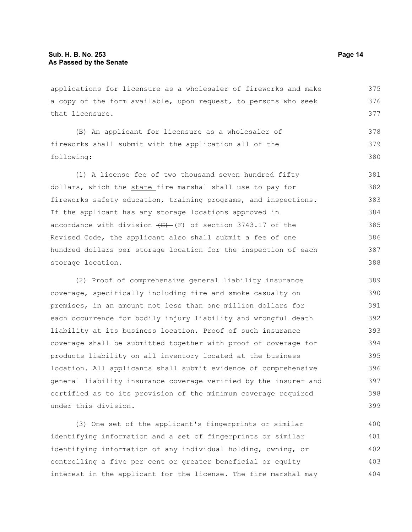applications for licensure as a wholesaler of fireworks and make a copy of the form available, upon request, to persons who seek that licensure. 375 376 377

(B) An applicant for licensure as a wholesaler of fireworks shall submit with the application all of the following: 378 379 380

(1) A license fee of two thousand seven hundred fifty dollars, which the state fire marshal shall use to pay for fireworks safety education, training programs, and inspections. If the applicant has any storage locations approved in accordance with division  $\left( \bigoplus -\left( \mathbb{F}\right) \right)$  of section 3743.17 of the Revised Code, the applicant also shall submit a fee of one hundred dollars per storage location for the inspection of each storage location. 381 382 383 384 385 386 387 388

(2) Proof of comprehensive general liability insurance coverage, specifically including fire and smoke casualty on premises, in an amount not less than one million dollars for each occurrence for bodily injury liability and wrongful death liability at its business location. Proof of such insurance coverage shall be submitted together with proof of coverage for products liability on all inventory located at the business location. All applicants shall submit evidence of comprehensive general liability insurance coverage verified by the insurer and certified as to its provision of the minimum coverage required under this division. 389 390 391 392 393 394 395 396 397 398 399

(3) One set of the applicant's fingerprints or similar identifying information and a set of fingerprints or similar identifying information of any individual holding, owning, or controlling a five per cent or greater beneficial or equity interest in the applicant for the license. The fire marshal may 400 401 402 403 404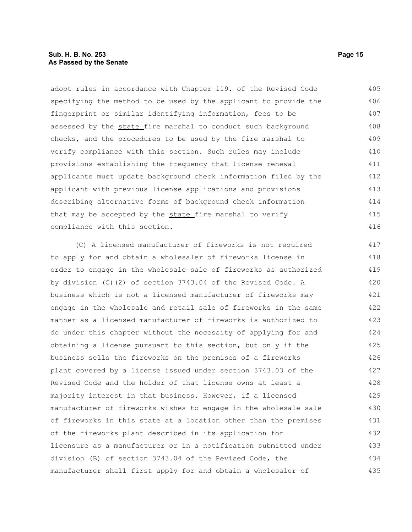### **Sub. H. B. No. 253 Page 15 As Passed by the Senate**

adopt rules in accordance with Chapter 119. of the Revised Code specifying the method to be used by the applicant to provide the fingerprint or similar identifying information, fees to be assessed by the state fire marshal to conduct such background checks, and the procedures to be used by the fire marshal to verify compliance with this section. Such rules may include provisions establishing the frequency that license renewal applicants must update background check information filed by the applicant with previous license applications and provisions describing alternative forms of background check information that may be accepted by the state fire marshal to verify compliance with this section. 405 406 407 408 409 410 411 412 413 414 415 416

(C) A licensed manufacturer of fireworks is not required to apply for and obtain a wholesaler of fireworks license in order to engage in the wholesale sale of fireworks as authorized by division (C)(2) of section 3743.04 of the Revised Code. A business which is not a licensed manufacturer of fireworks may engage in the wholesale and retail sale of fireworks in the same manner as a licensed manufacturer of fireworks is authorized to do under this chapter without the necessity of applying for and obtaining a license pursuant to this section, but only if the business sells the fireworks on the premises of a fireworks plant covered by a license issued under section 3743.03 of the Revised Code and the holder of that license owns at least a majority interest in that business. However, if a licensed manufacturer of fireworks wishes to engage in the wholesale sale of fireworks in this state at a location other than the premises of the fireworks plant described in its application for licensure as a manufacturer or in a notification submitted under division (B) of section 3743.04 of the Revised Code, the manufacturer shall first apply for and obtain a wholesaler of 417 418 419 420 421 422 423 424 425 426 427 428 429 430 431 432 433 434 435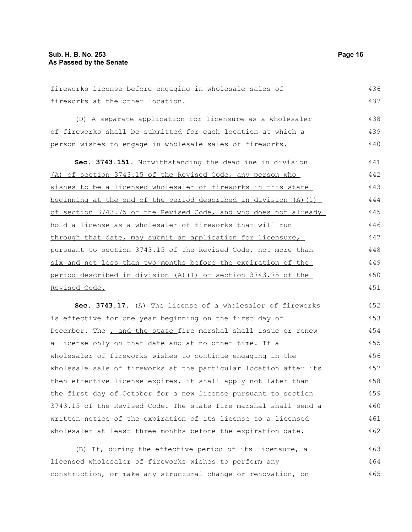(D) A separate application for licensure as a wholesaler of fireworks shall be submitted for each location at which a person wishes to engage in wholesale sales of fireworks. 438 439 440

 **Sec. 3743.151.** Notwithstanding the deadline in division (A) of section 3743.15 of the Revised Code, any person who wishes to be a licensed wholesaler of fireworks in this state beginning at the end of the period described in division  $(A)$   $(1)$ of section 3743.75 of the Revised Code, and who does not already hold a license as a wholesaler of fireworks that will run through that date, may submit an application for licensure, pursuant to section 3743.15 of the Revised Code, not more than six and not less than two months before the expiration of the period described in division (A)(1) of section 3743.75 of the Revised Code. 441 442 443 444 445 446 447 448 449 450 451

**Sec. 3743.17.** (A) The license of a wholesaler of fireworks is effective for one year beginning on the first day of December. The , and the state fire marshal shall issue or renew a license only on that date and at no other time. If a wholesaler of fireworks wishes to continue engaging in the wholesale sale of fireworks at the particular location after its then effective license expires, it shall apply not later than the first day of October for a new license pursuant to section 3743.15 of the Revised Code. The state fire marshal shall send a written notice of the expiration of its license to a licensed wholesaler at least three months before the expiration date. 452 453 454 455 456 457 458 459 460 461 462

(B) If, during the effective period of its licensure, a licensed wholesaler of fireworks wishes to perform any construction, or make any structural change or renovation, on 463 464 465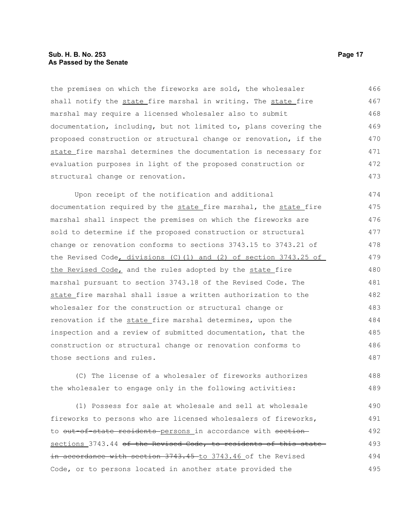### **Sub. H. B. No. 253 Page 17 As Passed by the Senate**

the premises on which the fireworks are sold, the wholesaler shall notify the state fire marshal in writing. The state fire marshal may require a licensed wholesaler also to submit documentation, including, but not limited to, plans covering the proposed construction or structural change or renovation, if the state fire marshal determines the documentation is necessary for evaluation purposes in light of the proposed construction or structural change or renovation. 466 467 468 469 470 471 472 473

Upon receipt of the notification and additional documentation required by the state fire marshal, the state fire marshal shall inspect the premises on which the fireworks are sold to determine if the proposed construction or structural change or renovation conforms to sections 3743.15 to 3743.21 of the Revised Code, divisions (C)(1) and (2) of section 3743.25 of the Revised Code, and the rules adopted by the state fire marshal pursuant to section 3743.18 of the Revised Code. The state fire marshal shall issue a written authorization to the wholesaler for the construction or structural change or renovation if the state fire marshal determines, upon the inspection and a review of submitted documentation, that the construction or structural change or renovation conforms to those sections and rules. 474 475 476 477 478 479 480 481 482 483 484 485 486 487

(C) The license of a wholesaler of fireworks authorizes the wholesaler to engage only in the following activities: 488 489

(1) Possess for sale at wholesale and sell at wholesale fireworks to persons who are licensed wholesalers of fireworks, to out-of-state residents persons in accordance with sectionsections 3743.44 of the Revised Code, to residents of this statein accordance with section 3743.45 to 3743.46 of the Revised Code, or to persons located in another state provided the 490 491 492 493 494 495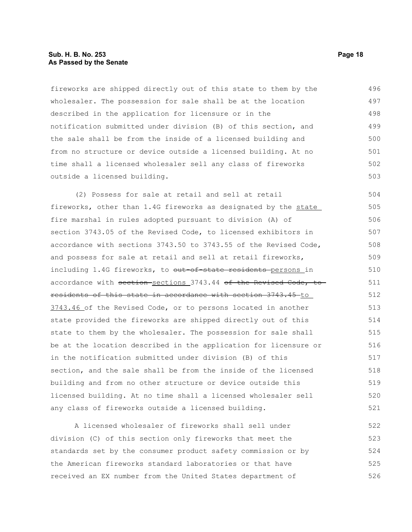### **Sub. H. B. No. 253 Page 18 As Passed by the Senate**

fireworks are shipped directly out of this state to them by the wholesaler. The possession for sale shall be at the location described in the application for licensure or in the notification submitted under division (B) of this section, and the sale shall be from the inside of a licensed building and from no structure or device outside a licensed building. At no time shall a licensed wholesaler sell any class of fireworks outside a licensed building. 496 497 498 499 500 501 502 503

(2) Possess for sale at retail and sell at retail fireworks, other than 1.4G fireworks as designated by the state fire marshal in rules adopted pursuant to division (A) of section 3743.05 of the Revised Code, to licensed exhibitors in accordance with sections 3743.50 to 3743.55 of the Revised Code, and possess for sale at retail and sell at retail fireworks, including 1.4G fireworks, to out of state residents persons in accordance with section-sections 3743.44 of the Revised Code, to residents of this state in accordance with section 3743.45 to 3743.46 of the Revised Code, or to persons located in another state provided the fireworks are shipped directly out of this state to them by the wholesaler. The possession for sale shall be at the location described in the application for licensure or in the notification submitted under division (B) of this section, and the sale shall be from the inside of the licensed building and from no other structure or device outside this licensed building. At no time shall a licensed wholesaler sell any class of fireworks outside a licensed building. 504 505 506 507 508 509 510 511 512 513 514 515 516 517 518 519 520 521

A licensed wholesaler of fireworks shall sell under division (C) of this section only fireworks that meet the standards set by the consumer product safety commission or by the American fireworks standard laboratories or that have received an EX number from the United States department of 522 523 524 525 526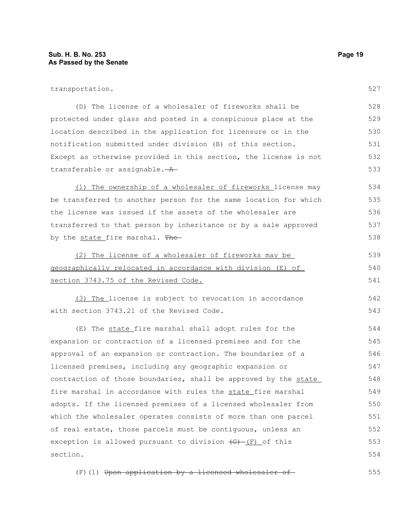transportation.

| (D) The license of a wholesaler of fireworks shall be                  | 528 |
|------------------------------------------------------------------------|-----|
| protected under glass and posted in a conspicuous place at the         | 529 |
| location described in the application for licensure or in the          | 530 |
| notification submitted under division (B) of this section.             | 531 |
| Except as otherwise provided in this section, the license is not       | 532 |
| transferable or assignable.-A-                                         | 533 |
| (1) The ownership of a wholesaler of fireworks license may             | 534 |
| be transferred to another person for the same location for which       | 535 |
| the license was issued if the assets of the wholesaler are             | 536 |
| transferred to that person by inheritance or by a sale approved        | 537 |
| by the state fire marshal. The-                                        | 538 |
| (2) The license of a wholesaler of fireworks may be                    | 539 |
| geographically relocated in accordance with division (E) of            | 540 |
| section 3743.75 of the Revised Code.                                   | 541 |
| (3) The license is subject to revocation in accordance                 | 542 |
| with section 3743.21 of the Revised Code.                              | 543 |
| (E) The state fire marshal shall adopt rules for the                   | 544 |
| expansion or contraction of a licensed premises and for the            | 545 |
| approval of an expansion or contraction. The boundaries of a           | 546 |
| licensed premises, including any geographic expansion or               | 547 |
| contraction of those boundaries, shall be approved by the state        | 548 |
| fire marshal in accordance with rules the state fire marshal           | 549 |
| adopts. If the licensed premises of a licensed wholesaler from         | 550 |
| which the wholesaler operates consists of more than one parcel         | 551 |
| of real estate, those parcels must be contiquous, unless an            | 552 |
| exception is allowed pursuant to division $\overline{(F)_{C}}$ of this | 553 |
| section.                                                               | 554 |
|                                                                        |     |

(F)(1) Upon application by a licensed wholesaler of 555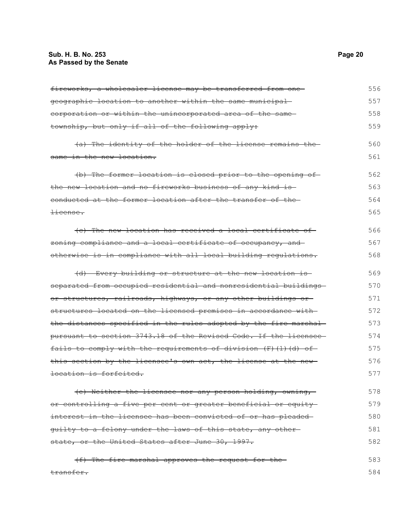### **Sub. H. B. No. 253** Page 20 **As Passed by the Senate**

| fireworks, a wholesaler license may be transferred from one-      | 556 |
|-------------------------------------------------------------------|-----|
| geographic location to another within the same municipal          | 557 |
| eorporation or within the unincorporated area of the same         | 558 |
| township, but only if all of the following apply:                 | 559 |
| (a) The identity of the holder of the license remains the         | 560 |
| same in the new location.                                         | 561 |
| (b) The former location is closed prior to the opening of         | 562 |
| the new location and no fireworks business of any kind is-        | 563 |
| conducted at the former location after the transfer of the-       | 564 |
| <del>license.</del>                                               | 565 |
| (e) The new location has received a local certificate of          | 566 |
| zoning compliance and a local certificate of occupancy, and       | 567 |
| otherwise is in compliance with all local building requlations.   | 568 |
| (d) Every building or structure at the new location is            | 569 |
| separated from occupied residential and nonresidential buildings  | 570 |
| or structures, railroads, highways, or any other buildings or     | 571 |
| structures located on the licensed premises in accordance with    | 572 |
| the distances specified in the rules adopted by the fire marshal  | 573 |
| pursuant to section 3743.18 of the Revised Code. If the licensee- | 574 |
| fails to comply with the requirements of division (F)(1)(d) of-   | 575 |
| this section by the licensee's own act, the license at the new-   | 576 |
| location is forfeited.                                            | 577 |
| (e) Neither the licensee nor any person holding, owning,          | 578 |
| or controlling a five per cent or greater beneficial or equity    | 579 |
| interest in the licensee has been convicted of or has pleaded-    | 580 |
| guilty to a felony under the laws of this state, any other-       | 581 |
| state, or the United States after June 30, 1997.                  | 582 |
| (f) The fire marshal approves the request for the                 | 583 |
| <del>transfer.</del>                                              | 584 |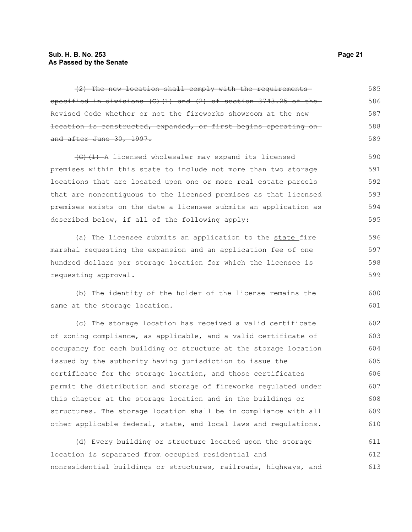### **Sub. H. B. No. 253 Page 21 As Passed by the Senate**

(2) The new location shall comply with the requirements specified in divisions (C)(1) and (2) of section 3743.25 of the Revised Code whether or not the fireworks showroom at the new location is constructed, expanded, or first begins operating on and after June 30, 1997. 585 586 587 588 589

(G)(1) A licensed wholesaler may expand its licensed premises within this state to include not more than two storage locations that are located upon one or more real estate parcels that are noncontiguous to the licensed premises as that licensed premises exists on the date a licensee submits an application as described below, if all of the following apply: 590 591 592 593 594 595

(a) The licensee submits an application to the state fire marshal requesting the expansion and an application fee of one hundred dollars per storage location for which the licensee is requesting approval.

(b) The identity of the holder of the license remains the same at the storage location.

(c) The storage location has received a valid certificate of zoning compliance, as applicable, and a valid certificate of occupancy for each building or structure at the storage location issued by the authority having jurisdiction to issue the certificate for the storage location, and those certificates permit the distribution and storage of fireworks regulated under this chapter at the storage location and in the buildings or structures. The storage location shall be in compliance with all other applicable federal, state, and local laws and regulations. 602 603 604 605 606 607 608 609 610

(d) Every building or structure located upon the storage location is separated from occupied residential and nonresidential buildings or structures, railroads, highways, and 611 612 613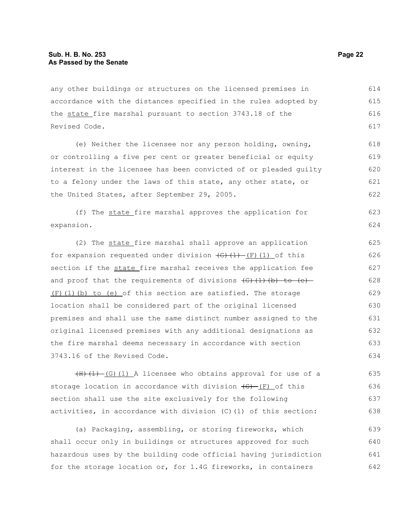any other buildings or structures on the licensed premises in accordance with the distances specified in the rules adopted by the state fire marshal pursuant to section 3743.18 of the Revised Code. 614 615 616 617

(e) Neither the licensee nor any person holding, owning, or controlling a five per cent or greater beneficial or equity interest in the licensee has been convicted of or pleaded guilty to a felony under the laws of this state, any other state, or the United States, after September 29, 2005. 618 619 620 621 622

(f) The state fire marshal approves the application for expansion. 623 624

(2) The state fire marshal shall approve an application for expansion requested under division  $\left(\frac{G}{1}, \frac{F}{F}\right)(1)$  of this section if the state fire marshal receives the application fee and proof that the requirements of divisions  $\left( G\right)$  (1)(b) to  $\left( e\right)$  $(F)$ (1)(b) to (e) of this section are satisfied. The storage location shall be considered part of the original licensed premises and shall use the same distinct number assigned to the original licensed premises with any additional designations as the fire marshal deems necessary in accordance with section 3743.16 of the Revised Code. 625 626 627 628 629 630 631 632 633 634

 $(H)$  (1) (G)(1) A licensee who obtains approval for use of a storage location in accordance with division  $\overline{(G) - (F)}$  of this section shall use the site exclusively for the following activities, in accordance with division (C)(1) of this section: 635 636 637 638

(a) Packaging, assembling, or storing fireworks, which shall occur only in buildings or structures approved for such hazardous uses by the building code official having jurisdiction for the storage location or, for 1.4G fireworks, in containers 639 640 641 642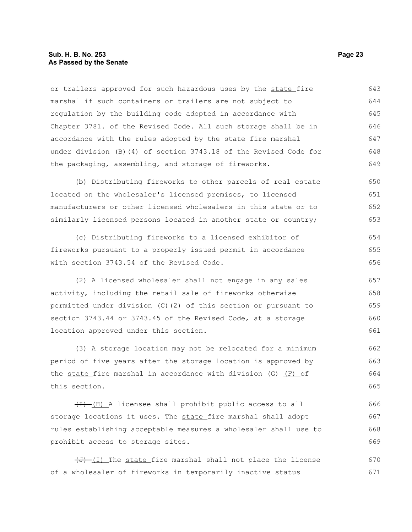### **Sub. H. B. No. 253 Page 23 As Passed by the Senate**

or trailers approved for such hazardous uses by the state fire marshal if such containers or trailers are not subject to regulation by the building code adopted in accordance with Chapter 3781. of the Revised Code. All such storage shall be in accordance with the rules adopted by the state fire marshal under division (B)(4) of section 3743.18 of the Revised Code for the packaging, assembling, and storage of fireworks. 643 644 645 646 647 648 649

(b) Distributing fireworks to other parcels of real estate located on the wholesaler's licensed premises, to licensed manufacturers or other licensed wholesalers in this state or to similarly licensed persons located in another state or country; 650 651 652 653

(c) Distributing fireworks to a licensed exhibitor of fireworks pursuant to a properly issued permit in accordance with section 3743.54 of the Revised Code. 654 655 656

(2) A licensed wholesaler shall not engage in any sales activity, including the retail sale of fireworks otherwise permitted under division (C)(2) of this section or pursuant to section 3743.44 or 3743.45 of the Revised Code, at a storage location approved under this section.

(3) A storage location may not be relocated for a minimum period of five years after the storage location is approved by the state fire marshal in accordance with division  $\overline{(G) - (F)}$  of this section.

 $(H)$  (H) A licensee shall prohibit public access to all storage locations it uses. The state fire marshal shall adopt rules establishing acceptable measures a wholesaler shall use to prohibit access to storage sites. 666 667 668 669

(J) (I) The state fire marshal shall not place the license of a wholesaler of fireworks in temporarily inactive status 670 671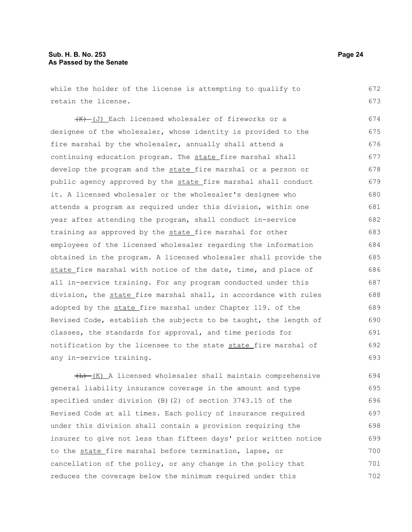### **Sub. H. B. No. 253 Page 24 As Passed by the Senate**

while the holder of the license is attempting to qualify to retain the license. 672 673

 $(K)$  (J) Each licensed wholesaler of fireworks or a designee of the wholesaler, whose identity is provided to the fire marshal by the wholesaler, annually shall attend a continuing education program. The state fire marshal shall develop the program and the state fire marshal or a person or public agency approved by the state fire marshal shall conduct it. A licensed wholesaler or the wholesaler's designee who attends a program as required under this division, within one year after attending the program, shall conduct in-service training as approved by the state fire marshal for other employees of the licensed wholesaler regarding the information obtained in the program. A licensed wholesaler shall provide the state fire marshal with notice of the date, time, and place of all in-service training. For any program conducted under this division, the state fire marshal shall, in accordance with rules adopted by the state fire marshal under Chapter 119. of the Revised Code, establish the subjects to be taught, the length of classes, the standards for approval, and time periods for notification by the licensee to the state state fire marshal of any in-service training. 674 675 676 677 678 679 680 681 682 683 684 685 686 687 688 689 690 691 692 693

 $(H)$  (K) A licensed wholesaler shall maintain comprehensive general liability insurance coverage in the amount and type specified under division (B)(2) of section 3743.15 of the Revised Code at all times. Each policy of insurance required under this division shall contain a provision requiring the insurer to give not less than fifteen days' prior written notice to the state fire marshal before termination, lapse, or cancellation of the policy, or any change in the policy that reduces the coverage below the minimum required under this 694 695 696 697 698 699 700 701 702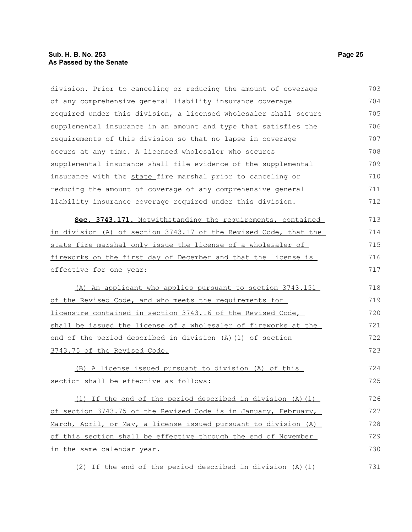### **Sub. H. B. No. 253 Page 25 As Passed by the Senate**

division. Prior to canceling or reducing the amount of coverage of any comprehensive general liability insurance coverage required under this division, a licensed wholesaler shall secure supplemental insurance in an amount and type that satisfies the requirements of this division so that no lapse in coverage occurs at any time. A licensed wholesaler who secures supplemental insurance shall file evidence of the supplemental insurance with the state fire marshal prior to canceling or reducing the amount of coverage of any comprehensive general liability insurance coverage required under this division. 703 704 705 706 707 708 709 710 711 712

 **Sec. 3743.171.** Notwithstanding the requirements, contained in division (A) of section 3743.17 of the Revised Code, that the state fire marshal only issue the license of a wholesaler of fireworks on the first day of December and that the license is effective for one year: 713 714 715 716 717

(A) An applicant who applies pursuant to section 3743.151 of the Revised Code, and who meets the requirements for licensure contained in section 3743.16 of the Revised Code, shall be issued the license of a wholesaler of fireworks at the end of the period described in division (A)(1) of section 3743.75 of the Revised Code. 718 719 720 721 722 723

(B) A license issued pursuant to division (A) of this section shall be effective as follows: 724 725

(1) If the end of the period described in division (A)(1) of section 3743.75 of the Revised Code is in January, February, March, April, or May, a license issued pursuant to division (A) of this section shall be effective through the end of November in the same calendar year. 726 727 728 729 730

(2) If the end of the period described in division (A)(1) 731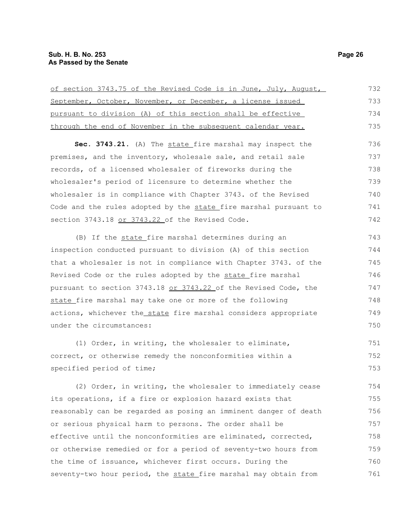| of section 3743.75 of the Revised Code is in June, July, August, | 732 |
|------------------------------------------------------------------|-----|
| September, October, November, or December, a license issued      | 733 |
| pursuant to division (A) of this section shall be effective      | 734 |
| through the end of November in the subsequent calendar year.     | 735 |
| Sec. 3743.21. (A) The state fire marshal may inspect the         | 736 |
| premises, and the inventory, wholesale sale, and retail sale     | 737 |
| records, of a licensed wholesaler of fireworks during the        | 738 |
| wholesaler's period of licensure to determine whether the        | 739 |
| wholesaler is in compliance with Chapter 3743. of the Revised    | 740 |
| Code and the rules adopted by the state fire marshal pursuant to | 741 |
| section 3743.18 or 3743.22 of the Revised Code.                  | 742 |
| (B) If the state fire marshal determines during an               | 743 |
| inspection conducted pursuant to division (A) of this section    | 744 |
| that a wholesaler is not in compliance with Chapter 3743. of the | 745 |
| Revised Code or the rules adopted by the state fire marshal      | 746 |
| pursuant to section 3743.18 or 3743.22 of the Revised Code, the  | 747 |
| state fire marshal may take one or more of the following         | 748 |
| actions, whichever the state fire marshal considers appropriate  | 749 |
| under the circumstances:                                         | 750 |

(1) Order, in writing, the wholesaler to eliminate, correct, or otherwise remedy the nonconformities within a specified period of time; 751 752 753

(2) Order, in writing, the wholesaler to immediately cease its operations, if a fire or explosion hazard exists that reasonably can be regarded as posing an imminent danger of death or serious physical harm to persons. The order shall be effective until the nonconformities are eliminated, corrected, or otherwise remedied or for a period of seventy-two hours from the time of issuance, whichever first occurs. During the seventy-two hour period, the state fire marshal may obtain from 754 755 756 757 758 759 760 761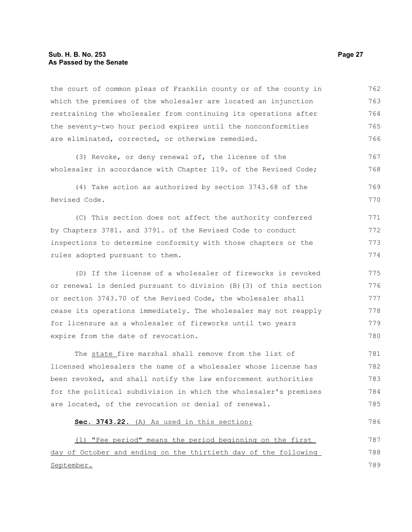### **Sub. H. B. No. 253 Page 27 As Passed by the Senate**

the court of common pleas of Franklin county or of the county in which the premises of the wholesaler are located an injunction restraining the wholesaler from continuing its operations after the seventy-two hour period expires until the nonconformities are eliminated, corrected, or otherwise remedied. 762 763 764 765 766

(3) Revoke, or deny renewal of, the license of the wholesaler in accordance with Chapter 119. of the Revised Code;

(4) Take action as authorized by section 3743.68 of the Revised Code. 769 770

(C) This section does not affect the authority conferred by Chapters 3781. and 3791. of the Revised Code to conduct inspections to determine conformity with those chapters or the rules adopted pursuant to them. 771 772 773 774

(D) If the license of a wholesaler of fireworks is revoked or renewal is denied pursuant to division (B)(3) of this section or section 3743.70 of the Revised Code, the wholesaler shall cease its operations immediately. The wholesaler may not reapply for licensure as a wholesaler of fireworks until two years expire from the date of revocation.

The state fire marshal shall remove from the list of licensed wholesalers the name of a wholesaler whose license has been revoked, and shall notify the law enforcement authorities for the political subdivision in which the wholesaler's premises are located, of the revocation or denial of renewal. 781 782 783 784 785

#### **Sec. 3743.22.** (A) As used in this section:

(1) "Fee period" means the period beginning on the first day of October and ending on the thirtieth day of the following September. 787 788 789

767 768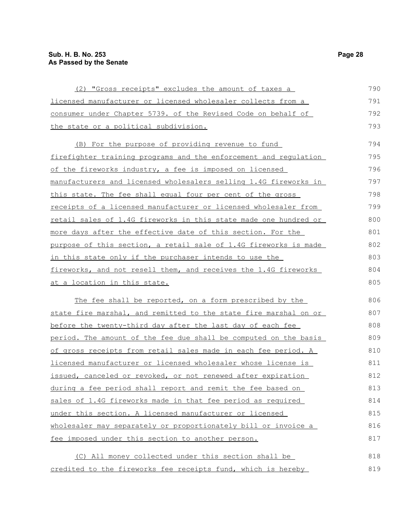| (2) "Gross receipts" excludes the amount of taxes a                     | 790 |
|-------------------------------------------------------------------------|-----|
| <u>licensed manufacturer or licensed wholesaler collects from a</u>     | 791 |
| consumer under Chapter 5739. of the Revised Code on behalf of           | 792 |
| the state or a political subdivision.                                   | 793 |
| (B) For the purpose of providing revenue to fund                        | 794 |
| firefighter training programs and the enforcement and regulation        | 795 |
| of the fireworks industry, a fee is imposed on licensed                 | 796 |
| manufacturers and licensed wholesalers selling 1.4G fireworks in        | 797 |
| this state. The fee shall equal four per cent of the gross              | 798 |
| receipts of a licensed manufacturer or licensed wholesaler from         | 799 |
| <u>retail sales of 1.4G fireworks in this state made one hundred or</u> | 800 |
| more days after the effective date of this section. For the             | 801 |
| purpose of this section, a retail sale of 1.4G fireworks is made        | 802 |
| in this state only if the purchaser intends to use the                  | 803 |
| fireworks, and not resell them, and receives the 1.4G fireworks         | 804 |
| <u>at a location in this state.</u>                                     | 805 |
| The fee shall be reported, on a form prescribed by the                  | 806 |
| state fire marshal, and remitted to the state fire marshal on or        | 807 |
| before the twenty-third day after the last day of each fee              | 808 |
| period. The amount of the fee due shall be computed on the basis        | 809 |
| of gross receipts from retail sales made in each fee period. A          | 810 |
| licensed manufacturer or licensed wholesaler whose license is           | 811 |
| issued, canceled or revoked, or not renewed after expiration            | 812 |
| during a fee period shall report and remit the fee based on             | 813 |
| sales of 1.4G fireworks made in that fee period as required             | 814 |
| under this section. A licensed manufacturer or licensed                 | 815 |
| wholesaler may separately or proportionately bill or invoice a          | 816 |
| fee imposed under this section to another person.                       | 817 |
| (C) All money collected under this section shall be                     | 818 |
| credited to the fireworks fee receipts fund, which is hereby            | 819 |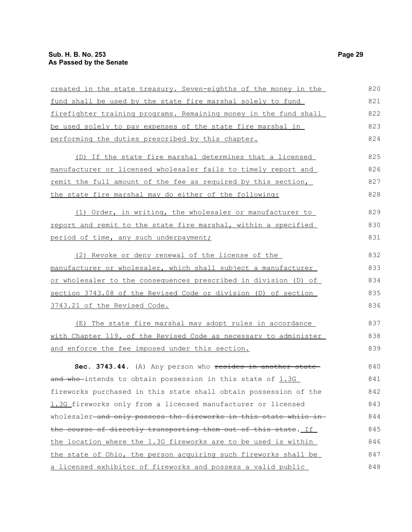| created in the state treasury. Seven-eighths of the money in the | 820 |
|------------------------------------------------------------------|-----|
| fund shall be used by the state fire marshal solely to fund      | 821 |
| firefighter training programs. Remaining money in the fund shall | 822 |
| be used solely to pay expenses of the state fire marshal in      | 823 |
| performing the duties prescribed by this chapter.                | 824 |
| (D) If the state fire marshal determines that a licensed         | 825 |
| manufacturer or licensed wholesaler fails to timely report and   | 826 |
| remit the full amount of the fee as required by this section,    | 827 |
| the state fire marshal may do either of the following:           | 828 |
| (1) Order, in writing, the wholesaler or manufacturer to         | 829 |
| report and remit to the state fire marshal, within a specified   | 830 |
| period of time, any such underpayment;                           | 831 |
| (2) Revoke or deny renewal of the license of the                 | 832 |
| manufacturer or wholesaler, which shall subject a manufacturer   | 833 |
| or wholesaler to the consequences prescribed in division (D) of  | 834 |
| section 3743.08 of the Revised Code or division (D) of section   | 835 |
| 3743.21 of the Revised Code.                                     | 836 |
| (E) The state fire marshal may adopt rules in accordance         | 837 |
| with Chapter 119. of the Revised Code as necessary to administer | 838 |
| and enforce the fee imposed under this section.                  | 839 |
| Sec. 3743.44. (A) Any person who resides in another state        | 840 |
| and who intends to obtain possession in this state of 1.3G       | 841 |
| fireworks purchased in this state shall obtain possession of the | 842 |
| 1.3G fireworks only from a licensed manufacturer or licensed     | 843 |
| wholesaler and only possess the fireworks in this state while in | 844 |
| the course of directly transporting them out of this state. If   | 845 |
| the location where the 1.3G fireworks are to be used is within   | 846 |
| the state of Ohio, the person acquiring such fireworks shall be  | 847 |
| a licensed exhibitor of fireworks and possess a valid public     | 848 |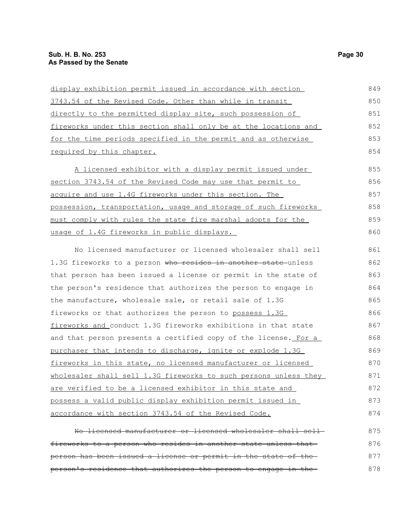| display exhibition permit issued in accordance with section      | 849 |
|------------------------------------------------------------------|-----|
| 3743.54 of the Revised Code. Other than while in transit         | 850 |
| directly to the permitted display site, such possession of       | 851 |
| fireworks under this section shall only be at the locations and  | 852 |
| for the time periods specified in the permit and as otherwise    | 853 |
| required by this chapter.                                        | 854 |
| A licensed exhibitor with a display permit issued under          | 855 |
| section 3743.54 of the Revised Code may use that permit to       | 856 |
| acquire and use 1.4G fireworks under this section. The           | 857 |
| possession, transportation, usage and storage of such fireworks  | 858 |
| must comply with rules the state fire marshal adopts for the     | 859 |
| usage of 1.4G fireworks in public displays.                      | 860 |
| No licensed manufacturer or licensed wholesaler shall sell       | 861 |
| 1.3G fireworks to a person who resides in another state unless   | 862 |
| that person has been issued a license or permit in the state of  | 863 |
| the person's residence that authorizes the person to engage in   | 864 |
| the manufacture, wholesale sale, or retail sale of 1.3G          | 865 |
| fireworks or that authorizes the person to possess 1.3G          | 866 |
| fireworks and conduct 1.3G fireworks exhibitions in that state   | 867 |
| and that person presents a certified copy of the license. For a  | 868 |
| purchaser that intends to discharge, ignite or explode 1.3G      | 869 |
| fireworks in this state, no licensed manufacturer or licensed    | 870 |
| wholesaler shall sell 1.3G fireworks to such persons unless they | 871 |
| are verified to be a licensed exhibitor in this state and        | 872 |
| possess a valid public display exhibition permit issued in       | 873 |
| accordance with section 3743.54 of the Revised Code.             | 874 |
| No licensed manufacturer or licensed wholesaler shall sell-      | 875 |
| fireworks to a person who resides in another state unless that   | 876 |
| person has been issued a license or permit in the state of the-  | 877 |

person's residence that authorizes the person to engage in the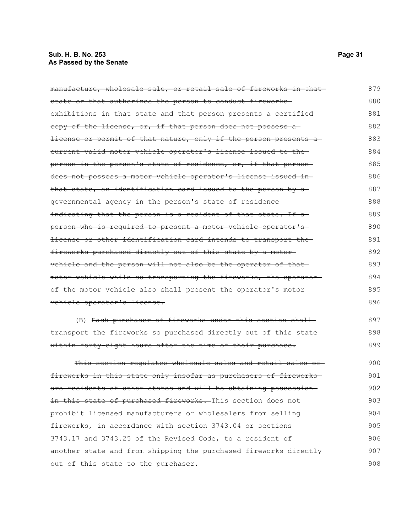### **Sub. H. B. No. 253 Page 31 As Passed by the Senate**

| manufacture, wholesale sale, or retail sale of fireworks in that- | 879 |
|-------------------------------------------------------------------|-----|
| state or that authorizes the person to conduct fireworks-         | 880 |
| exhibitions in that state and that person presents a certified-   | 881 |
| copy of the license, or, if that person does not possess a        | 882 |
| license or permit of that nature, only if the person presents a   | 883 |
| current valid motor vehicle operator's license issued to the-     | 884 |
| person in the person's state of residence, or, if that person-    | 885 |
| does not possess a motor vehicle operator's license issued in-    | 886 |
| that state, an identification card issued to the person by a      | 887 |
| governmental agency in the person's state of residence            | 888 |
| indicating that the person is a resident of that state. If a      | 889 |
| person who is required to present a motor vehicle operator's      | 890 |
| license or other identification card intends to transport the-    | 891 |
| fireworks purchased directly out of this state by a motor-        | 892 |
| vehicle and the person will not also be the operator of that      | 893 |
| motor vehicle while so transporting the fireworks, the operator-  | 894 |
| of the motor vehicle also shall present the operator's motor-     | 895 |
| vehicle operator's license.                                       | 896 |
| (B) Each purchaser of fireworks under this section shall-         | 897 |
| transport the fireworks so purchased directly out of this state-  | 898 |
| within forty-eight hours after the time of their purchase.        | 899 |
| This section requlates wholesale sales and retail sales of-       | 900 |
| fireworks in this state only insofar as purchasers of fireworks-  | 901 |
| are residents of other states and will be obtaining possession-   | 902 |
| in this state of purchased fireworks. This section does not       | 903 |
| prohibit licensed manufacturers or wholesalers from selling       | 904 |
| fireworks, in accordance with section 3743.04 or sections         | 905 |
| 3743.17 and 3743.25 of the Revised Code, to a resident of         | 906 |
| another state and from shipping the purchased fireworks directly  | 907 |
| out of this state to the purchaser.                               | 908 |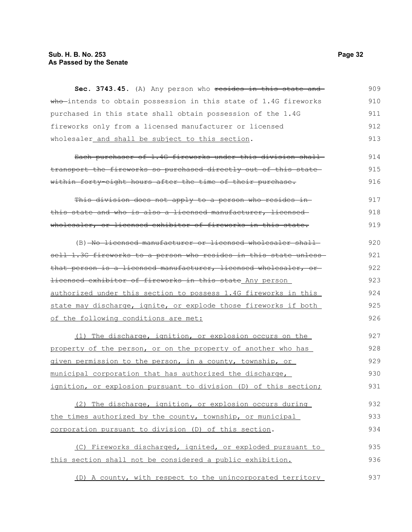### **Sub. H. B. No. 253 Page 32 As Passed by the Senate**

| Sec. 3743.45. (A) Any person who resides in this state and        | 909 |
|-------------------------------------------------------------------|-----|
| who-intends to obtain possession in this state of 1.4G fireworks  | 910 |
| purchased in this state shall obtain possession of the 1.4G       | 911 |
| fireworks only from a licensed manufacturer or licensed           | 912 |
| wholesaler_and shall be subject to this section.                  | 913 |
| Each purchaser of 1.4G fireworks under this division shall-       | 914 |
| transport the fireworks so purchased directly out of this state-  | 915 |
| within forty eight hours after the time of their purchase.        | 916 |
| This division does not apply to a person who resides in-          | 917 |
| this state and who is also a licensed manufacturer, licensed-     | 918 |
| wholesaler, or licensed exhibitor of fireworks in this state.     | 919 |
| (B) No licensed manufacturer or licensed wholesaler shall-        | 920 |
| sell 1.3G fireworks to a person who resides in this state unless- | 921 |
| that person is a licensed manufacturer, licensed wholesaler, or   | 922 |
| licensed exhibitor of fireworks in this state Any person          | 923 |
| authorized under this section to possess 1.4G fireworks in this   | 924 |
| state may discharge, ignite, or explode those fireworks if both   | 925 |
| of the following conditions are met:                              | 926 |
| (1) The discharge, ignition, or explosion occurs on the           | 927 |
| property of the person, or on the property of another who has     | 928 |
| given permission to the person, in a county, township, or         | 929 |
| municipal corporation that has authorized the discharge,          | 930 |
| ignition, or explosion pursuant to division (D) of this section;  | 931 |
| (2) The discharge, ignition, or explosion occurs during           | 932 |
| the times authorized by the county, township, or municipal        | 933 |
| corporation pursuant to division (D) of this section.             | 934 |
| (C) Fireworks discharged, ignited, or exploded pursuant to        | 935 |
| this section shall not be considered a public exhibition.         | 936 |
| (D) A county, with respect to the unincorporated territory        | 937 |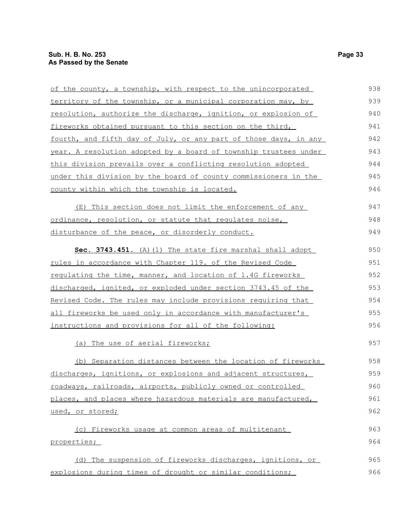| of the county, a township, with respect to the unincorporated    | 938 |
|------------------------------------------------------------------|-----|
| territory of the township, or a municipal corporation may, by    | 939 |
| resolution, authorize the discharge, ignition, or explosion of   | 940 |
| fireworks obtained pursuant to this section on the third,        | 941 |
| fourth, and fifth day of July, or any part of those days, in any | 942 |
| year. A resolution adopted by a board of township trustees under | 943 |
| this division prevails over a conflicting resolution adopted     | 944 |
| under this division by the board of county commissioners in the  | 945 |
| county within which the township is located.                     | 946 |
| (E) This section does not limit the enforcement of any           | 947 |
| ordinance, resolution, or statute that requlates noise,          | 948 |
| disturbance of the peace, or disorderly conduct.                 | 949 |
| Sec. 3743.451. (A) (1) The state fire marshal shall adopt        | 950 |
| rules in accordance with Chapter 119. of the Revised Code        | 951 |
| requlating the time, manner, and location of 1.4G fireworks      | 952 |
| discharged, ignited, or exploded under section 3743.45 of the    | 953 |
| Revised Code. The rules may include provisions requiring that    | 954 |
| all fireworks be used only in accordance with manufacturer's     | 955 |
| instructions and provisions for all of the following:            | 956 |
| The use of aerial fireworks;<br>(a)                              | 957 |
| (b) Separation distances between the location of fireworks       | 958 |
| discharges, ignitions, or explosions and adjacent structures,    | 959 |
| roadways, railroads, airports, publicly owned or controlled      | 960 |
| places, and places where hazardous materials are manufactured,   | 961 |
| used, or stored;                                                 | 962 |
| (c) Fireworks usage at common areas of multitenant               | 963 |
| properties;                                                      | 964 |
| (d) The suspension of fireworks discharges, ignitions, or        | 965 |
| explosions during times of drought or similar conditions;        | 966 |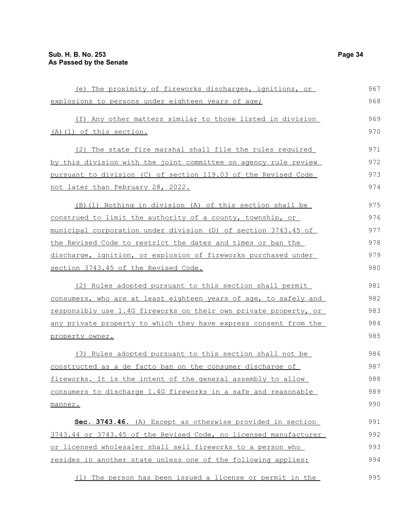| (e) The proximity of fireworks discharges, ignitions, or                | 967 |
|-------------------------------------------------------------------------|-----|
| explosions to persons under eighteen years of age;                      | 968 |
| (f) Any other matters similar to those listed in division               | 969 |
| (A) (1) of this section.                                                | 970 |
| (2) The state fire marshal shall file the rules required                | 971 |
| by this division with the joint committee on agency rule review         | 972 |
| pursuant to division (C) of section 119.03 of the Revised Code          | 973 |
| not later than February 28, 2022.                                       | 974 |
| (B) (1) Nothing in division (A) of this section shall be                | 975 |
| construed to limit the authority of a county, township, or              | 976 |
| municipal corporation under division (D) of section 3743.45 of          | 977 |
| the Revised Code to restrict the dates and times or ban the             | 978 |
| discharge, ignition, or explosion of fireworks purchased under          | 979 |
|                                                                         | 980 |
| section 3743.45 of the Revised Code.                                    |     |
| (2) Rules adopted pursuant to this section shall permit                 | 981 |
| consumers, who are at least eighteen years of age, to safely and        | 982 |
| responsibly use 1.4G fireworks on their own private property, or        | 983 |
| <u>any private property to which they have express consent from the</u> | 984 |
| property owner.                                                         | 985 |
| (3) Rules adopted pursuant to this section shall not be                 | 986 |
| constructed as a de facto ban on the consumer discharge of              | 987 |
| fireworks. It is the intent of the general assembly to allow            | 988 |
| consumers to discharge 1.4G fireworks in a safe and reasonable          | 989 |
| manner.                                                                 | 990 |
| Sec. 3743.46. (A) Except as otherwise provided in section               | 991 |
| 3743.44 or 3743.45 of the Revised Code, no licensed manufacturer        | 992 |
| or licensed wholesaler shall sell fireworks to a person who             | 993 |
| resides in another state unless one of the following applies:           | 994 |
| (1) The person has been issued a license or permit in the               | 995 |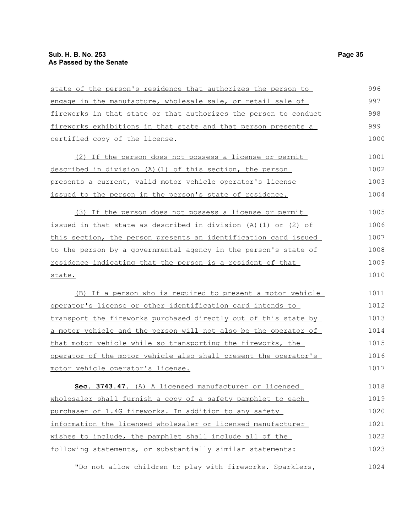| state of the person's residence that authorizes the person to          | 996  |
|------------------------------------------------------------------------|------|
| engage in the manufacture, wholesale sale, or retail sale of           | 997  |
| fireworks in that state or that authorizes the person to conduct       | 998  |
| fireworks exhibitions in that state and that person presents a         | 999  |
| certified copy of the license.                                         | 1000 |
| (2) If the person does not possess a license or permit                 | 1001 |
| described in division (A) (1) of this section, the person              | 1002 |
| presents a current, valid motor vehicle operator's license             | 1003 |
| issued to the person in the person's state of residence.               | 1004 |
| (3) If the person does not possess a license or permit                 | 1005 |
| issued in that state as described in division (A) (1) or (2) of        | 1006 |
| <u>this section, the person presents an identification card issued</u> | 1007 |
| to the person by a governmental agency in the person's state of        | 1008 |
| residence indicating that the person is a resident of that             | 1009 |
| state.                                                                 | 1010 |
| (B) If a person who is required to present a motor vehicle             | 1011 |
| operator's license or other identification card intends to             | 1012 |
| transport the fireworks purchased directly out of this state by        | 1013 |
| a motor vehicle and the person will not also be the operator of        | 1014 |
| that motor vehicle while so transporting the fireworks, the            | 1015 |
| operator of the motor vehicle also shall present the operator's        | 1016 |
| motor vehicle operator's license.                                      | 1017 |
| Sec. 3743.47. (A) A licensed manufacturer or licensed                  | 1018 |
| wholesaler shall furnish a copy of a safety pamphlet to each           | 1019 |
| purchaser of 1.4G fireworks. In addition to any safety                 | 1020 |
| information the licensed wholesaler or licensed manufacturer           | 1021 |
| wishes to include, the pamphlet shall include all of the               | 1022 |
| following statements, or substantially similar statements:             | 1023 |
| "Do not allow children to play with fireworks. Sparklers,              | 1024 |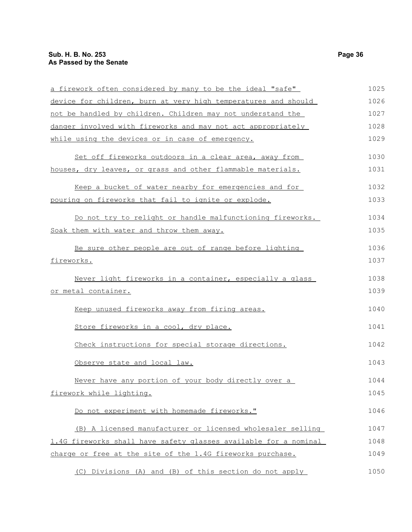| a firework often considered by many to be the ideal "safe"       | 1025 |
|------------------------------------------------------------------|------|
| device for children, burn at very high temperatures and should   | 1026 |
| not be handled by children. Children may not understand the      | 1027 |
| danger involved with fireworks and may not act appropriately     | 1028 |
| while using the devices or in case of emergency.                 | 1029 |
| Set off fireworks outdoors in a clear area, away from            | 1030 |
| houses, dry leaves, or grass and other flammable materials.      | 1031 |
| Keep a bucket of water nearby for emergencies and for            | 1032 |
| pouring on fireworks that fail to ignite or explode.             | 1033 |
| Do not try to relight or handle malfunctioning fireworks.        | 1034 |
| Soak them with water and throw them away.                        | 1035 |
| Be sure other people are out of range before lighting            | 1036 |
| fireworks.                                                       | 1037 |
| Never light fireworks in a container, especially a glass         | 1038 |
| or metal container.                                              | 1039 |
| Keep unused fireworks away from firing areas.                    | 1040 |
| Store fireworks in a cool, dry place.                            | 1041 |
| Check instructions for special storage directions.               | 1042 |
| Observe state and local law.                                     | 1043 |
| Never have any portion of your body directly over a              | 1044 |
| firework while lighting.                                         | 1045 |
| Do not experiment with homemade fireworks."                      | 1046 |
| (B) A licensed manufacturer or licensed wholesaler selling       | 1047 |
| 1.4G fireworks shall have safety glasses available for a nominal | 1048 |
| charge or free at the site of the 1.4G fireworks purchase.       | 1049 |
| (C) Divisions (A) and (B) of this section do not apply           | 1050 |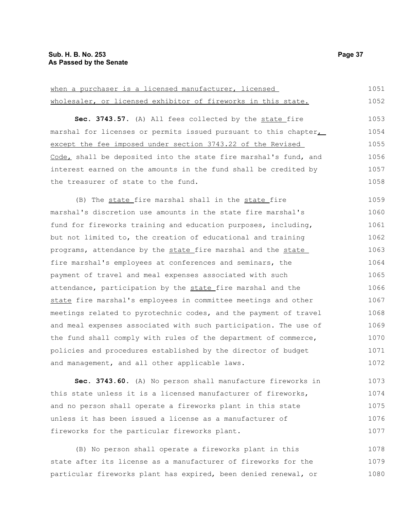| when a purchaser is a licensed manufacturer, licensed            | 1051 |
|------------------------------------------------------------------|------|
| wholesaler, or licensed exhibitor of fireworks in this state.    | 1052 |
|                                                                  | 1053 |
| Sec. 3743.57. (A) All fees collected by the state fire           |      |
| marshal for licenses or permits issued pursuant to this chapter, | 1054 |
| except the fee imposed under section 3743.22 of the Revised      | 1055 |
| Code, shall be deposited into the state fire marshal's fund, and | 1056 |
| interest earned on the amounts in the fund shall be credited by  | 1057 |
| the treasurer of state to the fund.                              | 1058 |
| (B) The state fire marshal shall in the state fire               | 1059 |
| marshal's discretion use amounts in the state fire marshal's     | 1060 |
| fund for fireworks training and education purposes, including,   | 1061 |
| but not limited to, the creation of educational and training     | 1062 |
| programs, attendance by the state fire marshal and the state     | 1063 |
| fire marshal's employees at conferences and seminars, the        | 1064 |
| payment of travel and meal expenses associated with such         | 1065 |
| attendance, participation by the state fire marshal and the      | 1066 |
| state fire marshal's employees in committee meetings and other   | 1067 |
| meetings related to pyrotechnic codes, and the payment of travel | 1068 |
| and meal expenses associated with such participation. The use of | 1069 |
| the fund shall comply with rules of the department of commerce,  | 1070 |
| policies and procedures established by the director of budget    | 1071 |
| and management, and all other applicable laws.                   | 1072 |
| Sec. 3743.60. (A) No person shall manufacture fireworks in       | 1073 |
| this state unless it is a licensed manufacturer of fireworks,    | 1074 |
|                                                                  |      |

and no person shall operate a fireworks plant in this state unless it has been issued a license as a manufacturer of fireworks for the particular fireworks plant. 1075 1076 1077

(B) No person shall operate a fireworks plant in this state after its license as a manufacturer of fireworks for the particular fireworks plant has expired, been denied renewal, or 1078 1079 1080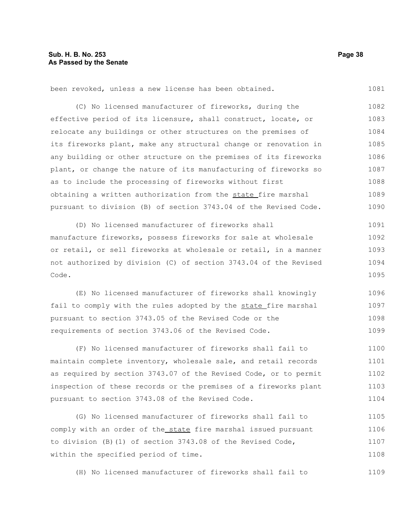been revoked, unless a new license has been obtained.

(C) No licensed manufacturer of fireworks, during the effective period of its licensure, shall construct, locate, or relocate any buildings or other structures on the premises of its fireworks plant, make any structural change or renovation in any building or other structure on the premises of its fireworks plant, or change the nature of its manufacturing of fireworks so as to include the processing of fireworks without first obtaining a written authorization from the state fire marshal pursuant to division (B) of section 3743.04 of the Revised Code. 1082 1083 1084 1085 1086 1087 1088 1089 1090

(D) No licensed manufacturer of fireworks shall manufacture fireworks, possess fireworks for sale at wholesale or retail, or sell fireworks at wholesale or retail, in a manner not authorized by division (C) of section 3743.04 of the Revised Code. 1091 1092 1093 1094 1095

(E) No licensed manufacturer of fireworks shall knowingly fail to comply with the rules adopted by the state fire marshal pursuant to section 3743.05 of the Revised Code or the requirements of section 3743.06 of the Revised Code. 1096 1097 1098 1099

(F) No licensed manufacturer of fireworks shall fail to maintain complete inventory, wholesale sale, and retail records as required by section 3743.07 of the Revised Code, or to permit inspection of these records or the premises of a fireworks plant pursuant to section 3743.08 of the Revised Code. 1100 1101 1102 1103 1104

(G) No licensed manufacturer of fireworks shall fail to comply with an order of the state fire marshal issued pursuant to division (B)(1) of section 3743.08 of the Revised Code, within the specified period of time. 1105 1106 1107 1108

(H) No licensed manufacturer of fireworks shall fail to 1109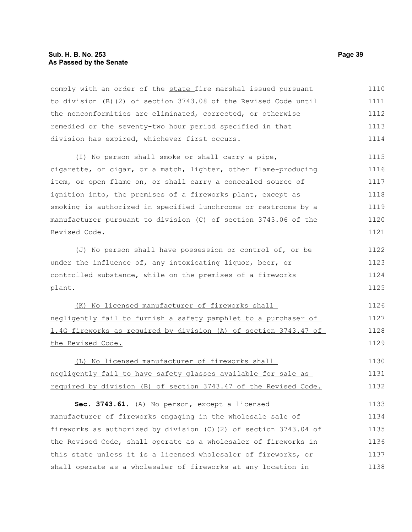### **Sub. H. B. No. 253 Page 39 As Passed by the Senate**

comply with an order of the state fire marshal issued pursuant to division (B)(2) of section 3743.08 of the Revised Code until the nonconformities are eliminated, corrected, or otherwise remedied or the seventy-two hour period specified in that division has expired, whichever first occurs. 1110 1111 1112 1113 1114

(I) No person shall smoke or shall carry a pipe, cigarette, or cigar, or a match, lighter, other flame-producing item, or open flame on, or shall carry a concealed source of ignition into, the premises of a fireworks plant, except as smoking is authorized in specified lunchrooms or restrooms by a manufacturer pursuant to division (C) of section 3743.06 of the Revised Code. 1115 1116 1117 1118 1119 1120 1121

(J) No person shall have possession or control of, or be under the influence of, any intoxicating liquor, beer, or controlled substance, while on the premises of a fireworks plant. 1122 1123 1124 1125

(K) No licensed manufacturer of fireworks shall negligently fail to furnish a safety pamphlet to a purchaser of 1.4G fireworks as required by division (A) of section 3743.47 of the Revised Code. 1126 1127 1128 1129

(L) No licensed manufacturer of fireworks shall negligently fail to have safety glasses available for sale as required by division (B) of section 3743.47 of the Revised Code. 1130 1131 1132

**Sec. 3743.61.** (A) No person, except a licensed manufacturer of fireworks engaging in the wholesale sale of fireworks as authorized by division (C)(2) of section 3743.04 of the Revised Code, shall operate as a wholesaler of fireworks in this state unless it is a licensed wholesaler of fireworks, or shall operate as a wholesaler of fireworks at any location in 1133 1134 1135 1136 1137 1138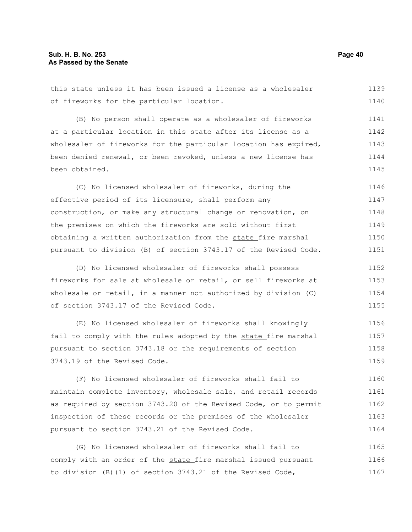this state unless it has been issued a license as a wholesaler of fireworks for the particular location. 1139 1140

(B) No person shall operate as a wholesaler of fireworks at a particular location in this state after its license as a wholesaler of fireworks for the particular location has expired, been denied renewal, or been revoked, unless a new license has been obtained. 1141 1142 1143 1144 1145

(C) No licensed wholesaler of fireworks, during the effective period of its licensure, shall perform any construction, or make any structural change or renovation, on the premises on which the fireworks are sold without first obtaining a written authorization from the state fire marshal pursuant to division (B) of section 3743.17 of the Revised Code. 1146 1147 1148 1149 1150 1151

(D) No licensed wholesaler of fireworks shall possess fireworks for sale at wholesale or retail, or sell fireworks at wholesale or retail, in a manner not authorized by division (C) of section 3743.17 of the Revised Code. 1152 1153 1154 1155

(E) No licensed wholesaler of fireworks shall knowingly fail to comply with the rules adopted by the state fire marshal pursuant to section 3743.18 or the requirements of section 3743.19 of the Revised Code. 1156 1157 1158 1159

(F) No licensed wholesaler of fireworks shall fail to maintain complete inventory, wholesale sale, and retail records as required by section 3743.20 of the Revised Code, or to permit inspection of these records or the premises of the wholesaler pursuant to section 3743.21 of the Revised Code. 1160 1161 1162 1163 1164

(G) No licensed wholesaler of fireworks shall fail to comply with an order of the state fire marshal issued pursuant to division (B)(1) of section 3743.21 of the Revised Code, 1165 1166 1167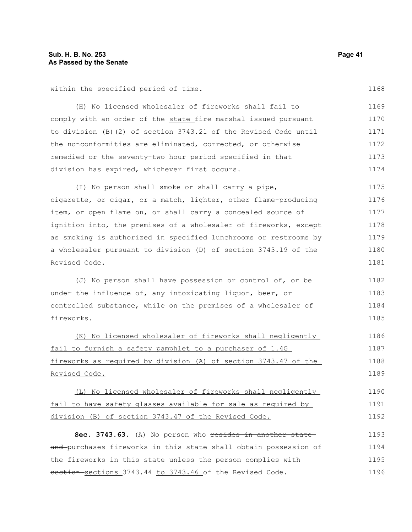within the specified period of time.

(H) No licensed wholesaler of fireworks shall fail to comply with an order of the state fire marshal issued pursuant to division (B)(2) of section 3743.21 of the Revised Code until 1169 1170 1171

the nonconformities are eliminated, corrected, or otherwise remedied or the seventy-two hour period specified in that division has expired, whichever first occurs. 1172 1173 1174

(I) No person shall smoke or shall carry a pipe, cigarette, or cigar, or a match, lighter, other flame-producing item, or open flame on, or shall carry a concealed source of ignition into, the premises of a wholesaler of fireworks, except as smoking is authorized in specified lunchrooms or restrooms by a wholesaler pursuant to division (D) of section 3743.19 of the Revised Code. 1175 1176 1177 1178 1179 1180 1181

(J) No person shall have possession or control of, or be under the influence of, any intoxicating liquor, beer, or controlled substance, while on the premises of a wholesaler of fireworks. 1182 1183 1184 1185

(K) No licensed wholesaler of fireworks shall negligently fail to furnish a safety pamphlet to a purchaser of 1.4G fireworks as required by division (A) of section 3743.47 of the Revised Code. 1186 1187 1188 1189

(L) No licensed wholesaler of fireworks shall negligently fail to have safety glasses available for sale as required by division (B) of section 3743.47 of the Revised Code. 1190 1191 1192

Sec. 3743.63. (A) No person who resides in another state and purchases fireworks in this state shall obtain possession of the fireworks in this state unless the person complies with section-sections 3743.44 to 3743.46 of the Revised Code. 1193 1194 1195 1196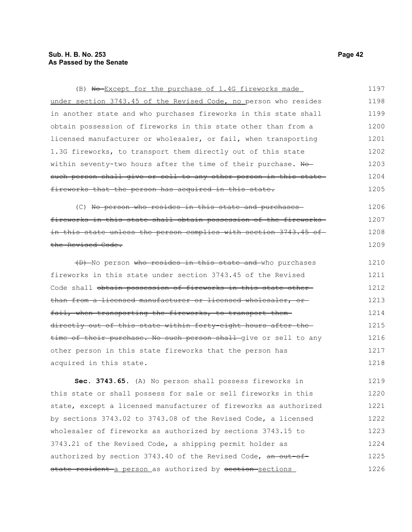### **Sub. H. B. No. 253 Page 42 As Passed by the Senate**

| (B) No-Except for the purchase of 1.4G fireworks made             | 1197 |
|-------------------------------------------------------------------|------|
| under section 3743.45 of the Revised Code, no person who resides  | 1198 |
| in another state and who purchases fireworks in this state shall  | 1199 |
| obtain possession of fireworks in this state other than from a    | 1200 |
| licensed manufacturer or wholesaler, or fail, when transporting   | 1201 |
| 1.3G fireworks, to transport them directly out of this state      | 1202 |
| within seventy-two hours after the time of their purchase. No-    | 1203 |
| such person shall give or sell to any other person in this state  | 1204 |
| fireworks that the person has acquired in this state.             | 1205 |
| (C) No person who resides in this state and purchases-            | 1206 |
| fireworks in this state shall obtain possession of the fireworks- | 1207 |
| in this state unless the person complies with section 3743.45 of  | 1208 |
| the Revised Code.                                                 | 1209 |
| (D) No person who resides in this state and who purchases         | 1210 |
| fireworks in this state under section 3743.45 of the Revised      | 1211 |
| Code shall obtain possession of fireworks in this state other-    | 1212 |
| than from a licensed manufacturer or licensed wholesaler, or      | 1213 |
| fail, when transporting the fireworks, to transport them-         | 1214 |
| directly out of this state within forty-eight hours after the     | 1215 |
| time of their purchase. No such person shall give or sell to any  | 1216 |
| other person in this state fireworks that the person has          | 1217 |

acquired in this state.

**Sec. 3743.65.** (A) No person shall possess fireworks in this state or shall possess for sale or sell fireworks in this state, except a licensed manufacturer of fireworks as authorized by sections 3743.02 to 3743.08 of the Revised Code, a licensed wholesaler of fireworks as authorized by sections 3743.15 to 3743.21 of the Revised Code, a shipping permit holder as authorized by section 3743.40 of the Revised Code, an out-ofstate resident a person as authorized by section sections 1219 1220 1221 1222 1223 1224 1225 1226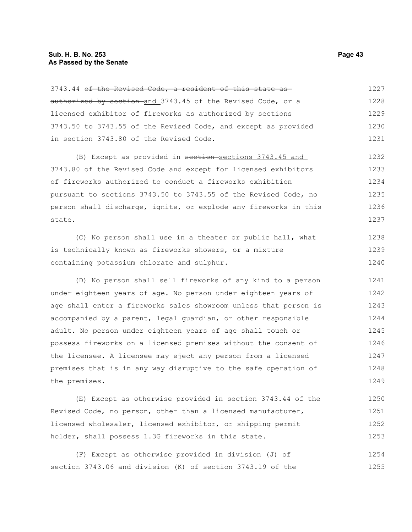| 3743.44 of the Revised Code, a resident of this state as         | 1227 |
|------------------------------------------------------------------|------|
| authorized by section and 3743.45 of the Revised Code, or a      | 1228 |
| licensed exhibitor of fireworks as authorized by sections        | 1229 |
| 3743.50 to 3743.55 of the Revised Code, and except as provided   | 1230 |
| in section 3743.80 of the Revised Code.                          | 1231 |
| (B) Except as provided in section-sections 3743.45 and           | 1232 |
| 3743.80 of the Revised Code and except for licensed exhibitors   | 1233 |
| of fireworks authorized to conduct a fireworks exhibition        | 1234 |
| pursuant to sections 3743.50 to 3743.55 of the Revised Code, no  | 1235 |
| person shall discharge, ignite, or explode any fireworks in this | 1236 |
| state.                                                           | 1237 |
| (C) No person shall use in a theater or public hall, what        | 1238 |
| is technically known as fireworks showers, or a mixture          | 1239 |
| containing potassium chlorate and sulphur.                       | 1240 |
| (D) No person shall sell fireworks of any kind to a person       | 1241 |
| under eighteen years of age. No person under eighteen years of   | 1242 |
| age shall enter a fireworks sales showroom unless that person is | 1243 |
| accompanied by a parent, legal guardian, or other responsible    | 1244 |
| adult. No person under eighteen years of age shall touch or      | 1245 |
| possess fireworks on a licensed premises without the consent of  | 1246 |
| the licensee. A licensee may eject any person from a licensed    | 1247 |
| premises that is in any way disruptive to the safe operation of  | 1248 |
| the premises.                                                    | 1249 |
|                                                                  |      |

(E) Except as otherwise provided in section 3743.44 of the Revised Code, no person, other than a licensed manufacturer, licensed wholesaler, licensed exhibitor, or shipping permit holder, shall possess 1.3G fireworks in this state. 1250 1251 1252 1253

(F) Except as otherwise provided in division (J) of section 3743.06 and division (K) of section 3743.19 of the 1254 1255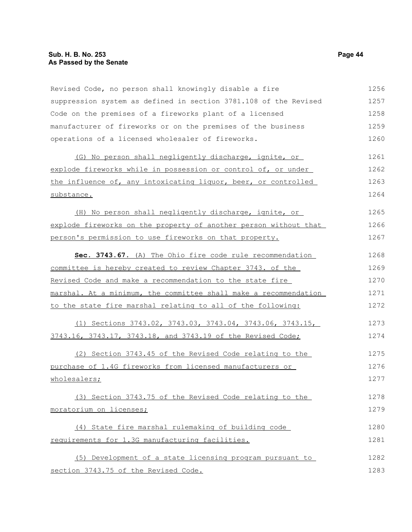| Revised Code, no person shall knowingly disable a fire           | 1256 |
|------------------------------------------------------------------|------|
| suppression system as defined in section 3781.108 of the Revised | 1257 |
| Code on the premises of a fireworks plant of a licensed          | 1258 |
| manufacturer of fireworks or on the premises of the business     | 1259 |
| operations of a licensed wholesaler of fireworks.                | 1260 |
| (G) No person shall negligently discharge, ignite, or            | 1261 |
| explode fireworks while in possession or control of, or under    | 1262 |
| the influence of, any intoxicating liguor, beer, or controlled   | 1263 |
| substance.                                                       | 1264 |
| (H) No person shall negligently discharge, ignite, or            | 1265 |
| explode fireworks on the property of another person without that | 1266 |
| person's permission to use fireworks on that property.           | 1267 |
| Sec. 3743.67. (A) The Ohio fire code rule recommendation         | 1268 |
| committee is hereby created to review Chapter 3743. of the       | 1269 |
| Revised Code and make a recommendation to the state fire         | 1270 |
| marshal. At a minimum, the committee shall make a recommendation | 1271 |
| to the state fire marshal relating to all of the following:      | 1272 |
| (1) Sections 3743.02, 3743.03, 3743.04, 3743.06, 3743.15,        | 1273 |
| 3743.16, 3743.17, 3743.18, and 3743.19 of the Revised Code;      | 1274 |
| (2) Section 3743.45 of the Revised Code relating to the          | 1275 |
| purchase of 1.4G fireworks from licensed manufacturers or        | 1276 |
| wholesalers;                                                     | 1277 |
| (3) Section 3743.75 of the Revised Code relating to the          | 1278 |
| moratorium on licenses;                                          | 1279 |
| (4) State fire marshal rulemaking of building code               | 1280 |
| requirements for 1.3G manufacturing facilities.                  | 1281 |
| (5) Development of a state licensing program pursuant to         | 1282 |
| section 3743.75 of the Revised Code.                             | 1283 |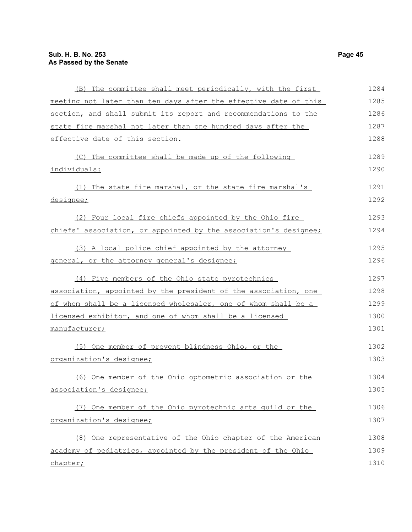| (B) The committee shall meet periodically, with the first        | 1284 |
|------------------------------------------------------------------|------|
| meeting not later than ten days after the effective date of this | 1285 |
| section, and shall submit its report and recommendations to the  | 1286 |
| state fire marshal not later than one hundred days after the     | 1287 |
| effective date of this section.                                  | 1288 |
| (C) The committee shall be made up of the following              | 1289 |
| individuals:                                                     | 1290 |
| (1) The state fire marshal, or the state fire marshal's          | 1291 |
| designee;                                                        | 1292 |
| (2) Four local fire chiefs appointed by the Ohio fire            | 1293 |
| chiefs' association, or appointed by the association's designee; | 1294 |
| (3) A local police chief appointed by the attorney               | 1295 |
| general, or the attorney general's designee;                     | 1296 |
| (4) Five members of the Ohio state pyrotechnics                  | 1297 |
| association, appointed by the president of the association, one  | 1298 |
| of whom shall be a licensed wholesaler, one of whom shall be a   | 1299 |
| licensed exhibitor, and one of whom shall be a licensed          | 1300 |
| manufacturer;                                                    | 1301 |
| (5) One member of prevent blindness Ohio, or the                 | 1302 |
| organization's designee;                                         | 1303 |
| (6) One member of the Ohio optometric association or the         | 1304 |
| association's designee;                                          | 1305 |
| (7) One member of the Ohio pyrotechnic arts quild or the         | 1306 |
| organization's designee;                                         | 1307 |
| (8) One representative of the Ohio chapter of the American       | 1308 |
| academy of pediatrics, appointed by the president of the Ohio    | 1309 |
| chapter;                                                         | 1310 |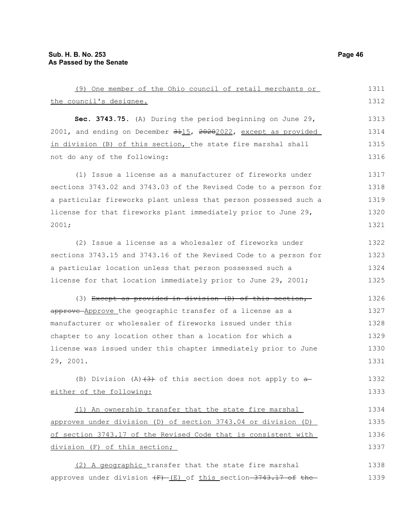(9) One member of the Ohio council of retail merchants or the council's designee. **Sec. 3743.75.** (A) During the period beginning on June 29, 2001, and ending on December 3115, 20202022, except as provided in division (B) of this section, the state fire marshal shall not do any of the following: (1) Issue a license as a manufacturer of fireworks under sections 3743.02 and 3743.03 of the Revised Code to a person for a particular fireworks plant unless that person possessed such a license for that fireworks plant immediately prior to June 29, 2001; (2) Issue a license as a wholesaler of fireworks under sections 3743.15 and 3743.16 of the Revised Code to a person for a particular location unless that person possessed such a license for that location immediately prior to June 29, 2001; (3) Except as provided in division (B) of this section, approve Approve the geographic transfer of a license as a manufacturer or wholesaler of fireworks issued under this chapter to any location other than a location for which a license was issued under this chapter immediately prior to June 29, 2001. (B) Division (A) $(3)$  of this section does not apply to  $a$ either of the following: (1) An ownership transfer that the state fire marshal approves under division (D) of section 3743.04 or division (D) of section 3743.17 of the Revised Code that is consistent with division (F) of this section; (2) A geographic transfer that the state fire marshal approves under division  $\overline{(F) - (E)}$  of this section 3743.17 of the 1311 1312 1313 1314 1315 1316 1317 1318 1319 1320 1321 1322 1323 1324 1325 1326 1327 1328 1329 1330 1331 1332 1333 1334 1335 1336 1337 1338 1339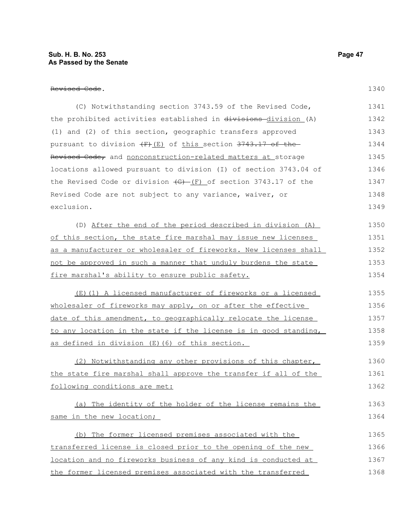(C) Notwithstanding section 3743.59 of the Revised Code, the prohibited activities established in divisions-division (A) (1) and (2) of this section, geographic transfers approved pursuant to division  $\overline{F}(E)$  of this section  $\overline{3743.17}$  of the-Revised Code, and nonconstruction-related matters at storage locations allowed pursuant to division (I) of section 3743.04 of the Revised Code or division  $\left(\frac{G}{F}\right)$  of section 3743.17 of the Revised Code are not subject to any variance, waiver, or exclusion. (D) After the end of the period described in division (A) of this section, the state fire marshal may issue new licenses as a manufacturer or wholesaler of fireworks. New licenses shall not be approved in such a manner that unduly burdens the state fire marshal's ability to ensure public safety. (E)(1) A licensed manufacturer of fireworks or a licensed wholesaler of fireworks may apply, on or after the effective date of this amendment, to geographically relocate the license 1341 1342 1343 1344 1345 1346 1347 1348 1349 1350 1351 1352 1353 1354 1355 1356 1357

to any location in the state if the license is in good standing, as defined in division (E)(6) of this section. 1358 1359

(2) Notwithstanding any other provisions of this chapter, the state fire marshal shall approve the transfer if all of the following conditions are met: 1360 1361 1362

(a) The identity of the holder of the license remains the same in the new location; 1363 1364

(b) The former licensed premises associated with the transferred license is closed prior to the opening of the new location and no fireworks business of any kind is conducted at the former licensed premises associated with the transferred 1365 1366 1367 1368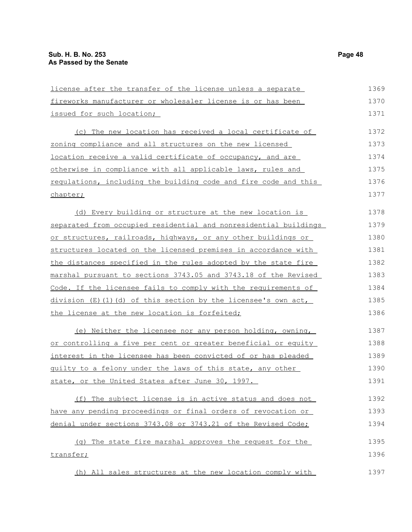| license after the transfer of the license unless a separate      | 1369 |
|------------------------------------------------------------------|------|
| fireworks manufacturer or wholesaler license is or has been      | 1370 |
| issued for such location;                                        | 1371 |
| (c) The new location has received a local certificate of         | 1372 |
| zoning compliance and all structures on the new licensed         | 1373 |
| location receive a valid certificate of occupancy, and are       | 1374 |
| otherwise in compliance with all applicable laws, rules and      | 1375 |
| requlations, including the building code and fire code and this  | 1376 |
| chapter;                                                         | 1377 |
| (d) Every building or structure at the new location is           | 1378 |
| separated from occupied residential and nonresidential buildings | 1379 |
| or structures, railroads, highways, or any other buildings or    | 1380 |
| structures located on the licensed premises in accordance with   | 1381 |
| the distances specified in the rules adopted by the state fire   | 1382 |
| marshal pursuant to sections 3743.05 and 3743.18 of the Revised  | 1383 |
| Code. If the licensee fails to comply with the requirements of   | 1384 |
| $division$ (E)(1)(d) of this section by the licensee's own act,  | 1385 |
| the license at the new location is forfeited;                    | 1386 |
| (e) Neither the licensee nor any person holding, owning,         | 1387 |
| or controlling a five per cent or greater beneficial or equity   | 1388 |
| interest in the licensee has been convicted of or has pleaded    | 1389 |
| guilty to a felony under the laws of this state, any other       | 1390 |
| state, or the United States after June 30, 1997.                 | 1391 |
| (f) The subject license is in active status and does not         | 1392 |
| have any pending proceedings or final orders of revocation or    | 1393 |
| denial under sections 3743.08 or 3743.21 of the Revised Code;    | 1394 |
| (q) The state fire marshal approves the request for the          | 1395 |
| transfer;                                                        | 1396 |
| (h) All sales structures at the new location comply with         | 1397 |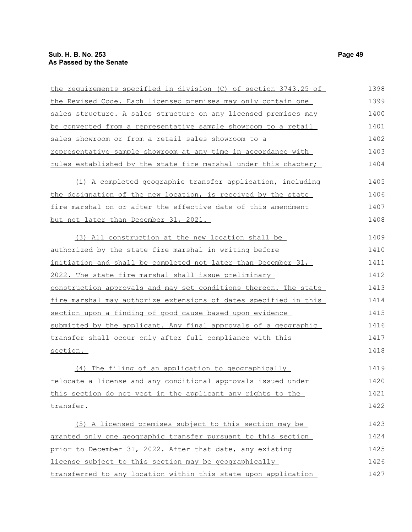| the requirements specified in division (C) of section 3743.25 of      | 1398 |
|-----------------------------------------------------------------------|------|
| the Revised Code. Each licensed premises may only contain one         | 1399 |
| sales structure. A sales structure on any licensed premises may       | 1400 |
| <u>be converted from a representative sample showroom to a retail</u> | 1401 |
| sales showroom or from a retail sales showroom to a                   | 1402 |
| representative sample showroom at any time in accordance with         | 1403 |
| rules established by the state fire marshal under this chapter;       | 1404 |
| (i) A completed geographic transfer application, including            | 1405 |
| the designation of the new location, is received by the state         | 1406 |
| fire marshal on or after the effective date of this amendment         | 1407 |
| <u>but not later than December 31, 2021. </u>                         | 1408 |
| (3) All construction at the new location shall be                     | 1409 |
| authorized by the state fire marshal in writing before                | 1410 |
| initiation and shall be completed not later than December 31,         | 1411 |
| 2022. The state fire marshal shall issue preliminary                  | 1412 |
| construction approvals and may set conditions thereon. The state      | 1413 |
| fire marshal may authorize extensions of dates specified in this      | 1414 |
| section upon a finding of good cause based upon evidence              | 1415 |
| submitted by the applicant. Any final approvals of a geographic       | 1416 |
| <u>transfer shall occur only after full compliance with this</u>      | 1417 |
| section.                                                              | 1418 |
| (4) The filing of an application to geographically                    | 1419 |
| relocate a license and any conditional approvals issued under         | 1420 |
| this section do not vest in the applicant any rights to the           | 1421 |
| transfer.                                                             | 1422 |
| (5) A licensed premises subject to this section may be                | 1423 |
| granted only one geographic transfer pursuant to this section         | 1424 |
| prior to December 31, 2022. After that date, any existing             | 1425 |
| license subject to this section may be geographically                 | 1426 |
| transferred to any location within this state upon application        | 1427 |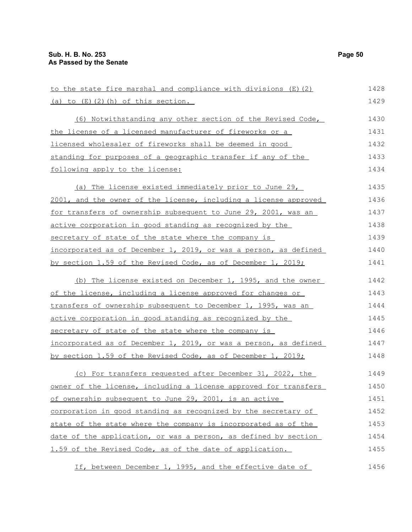| to the state fire marshal and compliance with divisions (E) (2)  | 1428 |
|------------------------------------------------------------------|------|
| (a) to $(E)$ $(2)$ $(h)$ of this section.                        | 1429 |
| (6) Notwithstanding any other section of the Revised Code,       | 1430 |
| the license of a licensed manufacturer of fireworks or a         | 1431 |
| licensed wholesaler of fireworks shall be deemed in good         | 1432 |
| standing for purposes of a geographic transfer if any of the     | 1433 |
| following apply to the license:                                  | 1434 |
| (a) The license existed immediately prior to June 29,            | 1435 |
| 2001, and the owner of the license, including a license approved | 1436 |
| for transfers of ownership subsequent to June 29, 2001, was an   | 1437 |
| active corporation in good standing as recognized by the         | 1438 |
| secretary of state of the state where the company is             | 1439 |
| incorporated as of December 1, 2019, or was a person, as defined | 1440 |
| by section 1.59 of the Revised Code, as of December 1, 2019;     | 1441 |
| (b) The license existed on December 1, 1995, and the owner       | 1442 |
| of the license, including a license approved for changes or      | 1443 |
| transfers of ownership subsequent to December 1, 1995, was an    | 1444 |
| active corporation in good standing as recognized by the         | 1445 |
| secretary of state of the state where the company is             | 1446 |
| incorporated as of December 1, 2019, or was a person, as defined | 1447 |
| by section 1.59 of the Revised Code, as of December 1, 2019;     | 1448 |
| (c) For transfers requested after December 31, 2022, the         | 1449 |
| owner of the license, including a license approved for transfers | 1450 |
| of ownership subsequent to June 29, 2001, is an active           | 1451 |
| corporation in good standing as recognized by the secretary of   | 1452 |
| state of the state where the company is incorporated as of the   | 1453 |
| date of the application, or was a person, as defined by section  | 1454 |
| 1.59 of the Revised Code, as of the date of application.         | 1455 |
| If, between December 1, 1995, and the effective date of          | 1456 |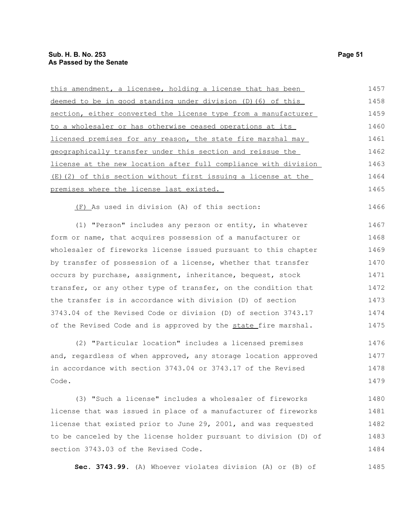| this amendment, a licensee, holding a license that has been     | 1457 |
|-----------------------------------------------------------------|------|
| deemed to be in good standing under division (D) (6) of this    | 1458 |
| section, either converted the license type from a manufacturer  | 1459 |
| to a wholesaler or has otherwise ceased operations at its       | 1460 |
| licensed premises for any reason, the state fire marshal may    | 1461 |
| geographically transfer under this section and reissue the      | 1462 |
| license at the new location after full compliance with division | 1463 |
| (E)(2) of this section without first issuing a license at the   | 1464 |
| premises where the license last existed.                        | 1465 |
| (F) As used in division (A) of this section:                    | 1466 |
| (1) "Person" includes any person or entity, in whatever         | 1467 |
| form or name, that acquires possession of a manufacturer or     | 1468 |
| wholesaler of fireworks license issued pursuant to this chapter | 1469 |
| by transfer of possession of a license, whether that transfer   | 1470 |

occurs by purchase, assignment, inheritance, bequest, stock transfer, or any other type of transfer, on the condition that the transfer is in accordance with division (D) of section 3743.04 of the Revised Code or division (D) of section 3743.17 of the Revised Code and is approved by the state fire marshal. 1471 1472 1473 1474 1475

(2) "Particular location" includes a licensed premises and, regardless of when approved, any storage location approved in accordance with section 3743.04 or 3743.17 of the Revised Code. 1476 1477 1478 1479

(3) "Such a license" includes a wholesaler of fireworks license that was issued in place of a manufacturer of fireworks license that existed prior to June 29, 2001, and was requested to be canceled by the license holder pursuant to division (D) of section 3743.03 of the Revised Code. 1480 1481 1482 1483 1484

**Sec. 3743.99.** (A) Whoever violates division (A) or (B) of 1485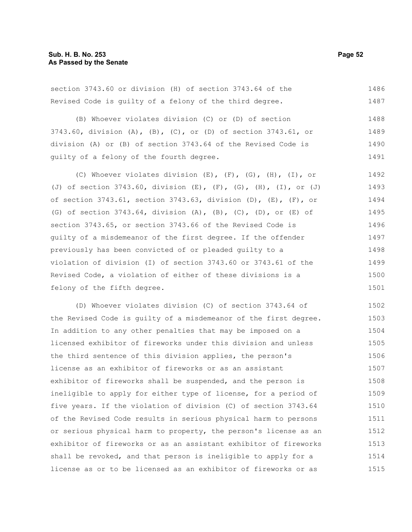section 3743.60 or division (H) of section 3743.64 of the Revised Code is guilty of a felony of the third degree. 1486 1487

(B) Whoever violates division (C) or (D) of section 3743.60, division (A), (B), (C), or (D) of section 3743.61, or division (A) or (B) of section 3743.64 of the Revised Code is guilty of a felony of the fourth degree. 1488 1489 1490 1491

(C) Whoever violates division (E), (F), (G), (H), (I), or (J) of section 3743.60, division (E), (F), (G), (H), (I), or (J) of section 3743.61, section 3743.63, division (D), (E), (F), or (G) of section 3743.64, division (A), (B), (C), (D), or (E) of section 3743.65, or section 3743.66 of the Revised Code is guilty of a misdemeanor of the first degree. If the offender previously has been convicted of or pleaded guilty to a violation of division (I) of section 3743.60 or 3743.61 of the Revised Code, a violation of either of these divisions is a felony of the fifth degree. 1492 1493 1494 1495 1496 1497 1498 1499 1500 1501

(D) Whoever violates division (C) of section 3743.64 of the Revised Code is guilty of a misdemeanor of the first degree. In addition to any other penalties that may be imposed on a licensed exhibitor of fireworks under this division and unless the third sentence of this division applies, the person's license as an exhibitor of fireworks or as an assistant exhibitor of fireworks shall be suspended, and the person is ineligible to apply for either type of license, for a period of five years. If the violation of division (C) of section 3743.64 of the Revised Code results in serious physical harm to persons or serious physical harm to property, the person's license as an exhibitor of fireworks or as an assistant exhibitor of fireworks shall be revoked, and that person is ineligible to apply for a license as or to be licensed as an exhibitor of fireworks or as 1502 1503 1504 1505 1506 1507 1508 1509 1510 1511 1512 1513 1514 1515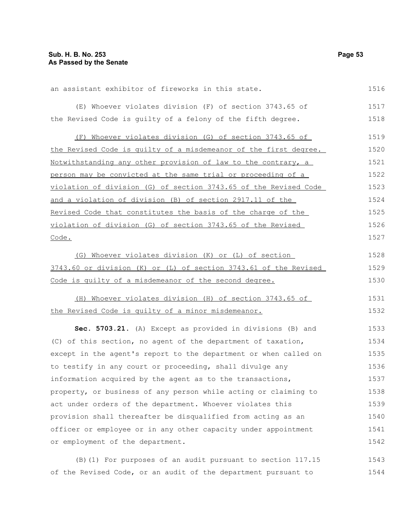an assistant exhibitor of fireworks in this state. 1516

|                                                             |  | (E) Whoever violates division (F) of section 3743.65 of |  |  |  |  |  | 1517 |
|-------------------------------------------------------------|--|---------------------------------------------------------|--|--|--|--|--|------|
| the Revised Code is quilty of a felony of the fifth degree. |  |                                                         |  |  |  |  |  | 1518 |

(F) Whoever violates division (G) of section 3743.65 of the Revised Code is guilty of a misdemeanor of the first degree. Notwithstanding any other provision of law to the contrary, a person may be convicted at the same trial or proceeding of a violation of division (G) of section 3743.65 of the Revised Code and a violation of division (B) of section 2917.11 of the Revised Code that constitutes the basis of the charge of the violation of division (G) of section 3743.65 of the Revised Code. 1519 1520 1521 1522 1523 1524 1525 1526 1527

(G) Whoever violates division (K) or (L) of section 3743.60 or division (K) or (L) of section 3743.61 of the Revised Code is guilty of a misdemeanor of the second degree. 1528 1529 1530

(H) Whoever violates division (H) of section 3743.65 of the Revised Code is guilty of a minor misdemeanor. 1531 1532

**Sec. 5703.21.** (A) Except as provided in divisions (B) and (C) of this section, no agent of the department of taxation, except in the agent's report to the department or when called on to testify in any court or proceeding, shall divulge any information acquired by the agent as to the transactions, property, or business of any person while acting or claiming to act under orders of the department. Whoever violates this provision shall thereafter be disqualified from acting as an officer or employee or in any other capacity under appointment or employment of the department. 1533 1534 1535 1536 1537 1538 1539 1540 1541 1542

(B)(1) For purposes of an audit pursuant to section 117.15 of the Revised Code, or an audit of the department pursuant to 1543 1544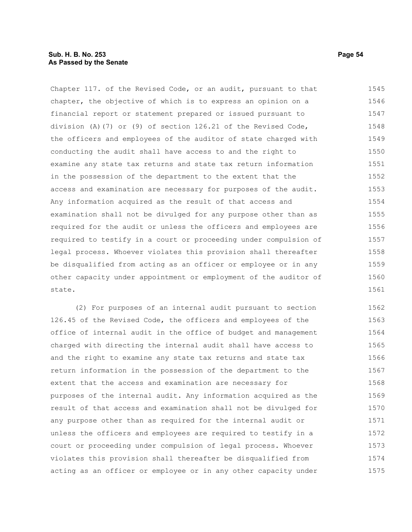### **Sub. H. B. No. 253 Page 54 As Passed by the Senate**

Chapter 117. of the Revised Code, or an audit, pursuant to that chapter, the objective of which is to express an opinion on a financial report or statement prepared or issued pursuant to division (A)(7) or (9) of section 126.21 of the Revised Code, the officers and employees of the auditor of state charged with conducting the audit shall have access to and the right to examine any state tax returns and state tax return information in the possession of the department to the extent that the access and examination are necessary for purposes of the audit. Any information acquired as the result of that access and examination shall not be divulged for any purpose other than as required for the audit or unless the officers and employees are required to testify in a court or proceeding under compulsion of legal process. Whoever violates this provision shall thereafter be disqualified from acting as an officer or employee or in any other capacity under appointment or employment of the auditor of state. 1545 1546 1547 1548 1549 1550 1551 1552 1553 1554 1555 1556 1557 1558 1559 1560 1561

(2) For purposes of an internal audit pursuant to section 126.45 of the Revised Code, the officers and employees of the office of internal audit in the office of budget and management charged with directing the internal audit shall have access to and the right to examine any state tax returns and state tax return information in the possession of the department to the extent that the access and examination are necessary for purposes of the internal audit. Any information acquired as the result of that access and examination shall not be divulged for any purpose other than as required for the internal audit or unless the officers and employees are required to testify in a court or proceeding under compulsion of legal process. Whoever violates this provision shall thereafter be disqualified from acting as an officer or employee or in any other capacity under 1562 1563 1564 1565 1566 1567 1568 1569 1570 1571 1572 1573 1574 1575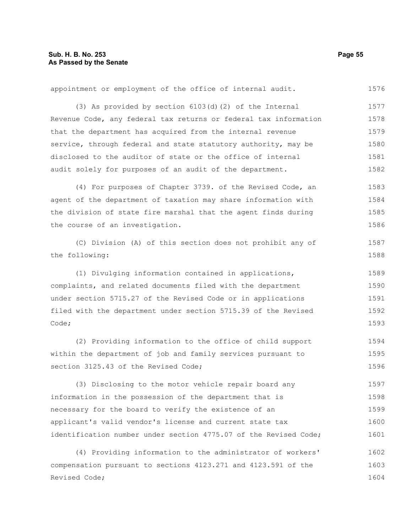appointment or employment of the office of internal audit. (3) As provided by section 6103(d)(2) of the Internal Revenue Code, any federal tax returns or federal tax information that the department has acquired from the internal revenue service, through federal and state statutory authority, may be disclosed to the auditor of state or the office of internal audit solely for purposes of an audit of the department. (4) For purposes of Chapter 3739. of the Revised Code, an agent of the department of taxation may share information with the division of state fire marshal that the agent finds during the course of an investigation. (C) Division (A) of this section does not prohibit any of the following: (1) Divulging information contained in applications, complaints, and related documents filed with the department under section 5715.27 of the Revised Code or in applications filed with the department under section 5715.39 of the Revised Code; (2) Providing information to the office of child support within the department of job and family services pursuant to section 3125.43 of the Revised Code; 1576 1577 1578 1579 1580 1581 1582 1583 1584 1585 1586 1587 1588 1589 1590 1591 1592 1593 1594 1595 1596

(3) Disclosing to the motor vehicle repair board any information in the possession of the department that is necessary for the board to verify the existence of an applicant's valid vendor's license and current state tax identification number under section 4775.07 of the Revised Code; 1597 1598 1599 1600 1601

(4) Providing information to the administrator of workers' compensation pursuant to sections 4123.271 and 4123.591 of the Revised Code; 1602 1603 1604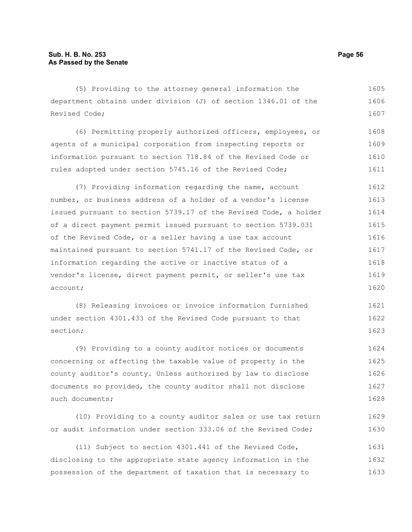(5) Providing to the attorney general information the department obtains under division (J) of section 1346.01 of the Revised Code; 1605 1606 1607

(6) Permitting properly authorized officers, employees, or agents of a municipal corporation from inspecting reports or information pursuant to section 718.84 of the Revised Code or rules adopted under section 5745.16 of the Revised Code; 1608 1609 1610 1611

(7) Providing information regarding the name, account number, or business address of a holder of a vendor's license issued pursuant to section 5739.17 of the Revised Code, a holder of a direct payment permit issued pursuant to section 5739.031 of the Revised Code, or a seller having a use tax account maintained pursuant to section 5741.17 of the Revised Code, or information regarding the active or inactive status of a vendor's license, direct payment permit, or seller's use tax account; 1612 1613 1614 1615 1616 1617 1618 1619 1620

(8) Releasing invoices or invoice information furnished under section 4301.433 of the Revised Code pursuant to that section; 1621 1622 1623

(9) Providing to a county auditor notices or documents concerning or affecting the taxable value of property in the county auditor's county. Unless authorized by law to disclose documents so provided, the county auditor shall not disclose such documents; 1624 1625 1626 1627 1628

(10) Providing to a county auditor sales or use tax return or audit information under section 333.06 of the Revised Code; 1629 1630

(11) Subject to section 4301.441 of the Revised Code, disclosing to the appropriate state agency information in the possession of the department of taxation that is necessary to 1631 1632 1633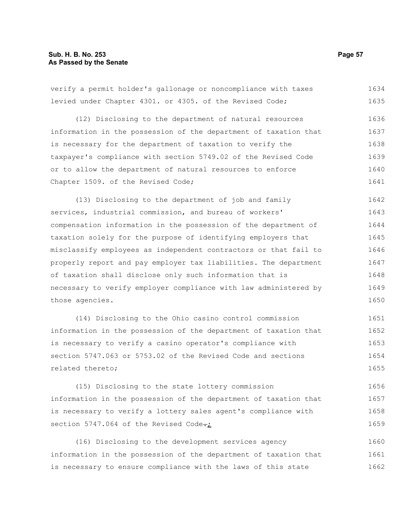| verify a permit holder's gallonage or noncompliance with taxes   | 1634 |
|------------------------------------------------------------------|------|
| levied under Chapter 4301. or 4305. of the Revised Code;         | 1635 |
| (12) Disclosing to the department of natural resources           | 1636 |
| information in the possession of the department of taxation that | 1637 |
| is necessary for the department of taxation to verify the        | 1638 |
| taxpayer's compliance with section 5749.02 of the Revised Code   | 1639 |
| or to allow the department of natural resources to enforce       | 1640 |
| Chapter 1509. of the Revised Code;                               | 1641 |
| (13) Disclosing to the department of job and family              | 1642 |
| services, industrial commission, and bureau of workers'          | 1643 |
| compensation information in the possession of the department of  | 1644 |
| taxation solely for the purpose of identifying employers that    | 1645 |
| misclassify employees as independent contractors or that fail to | 1646 |
| properly report and pay employer tax liabilities. The department | 1647 |
| of taxation shall disclose only such information that is         | 1648 |
| necessary to verify employer compliance with law administered by | 1649 |
| those agencies.                                                  | 1650 |
| (14) Disclosing to the Ohio casino control commission            | 1651 |
| information in the possession of the department of taxation that | 1652 |
| is necessary to verify a casino operator's compliance with       | 1653 |
| section 5747.063 or 5753.02 of the Revised Code and sections     | 1654 |
| related thereto;                                                 | 1655 |
| (15) Disclosing to the state lottery commission                  | 1656 |
| information in the possession of the department of taxation that | 1657 |
| is necessary to verify a lottery sales agent's compliance with   | 1658 |
| section 5747.064 of the Revised Code-:                           | 1659 |
|                                                                  |      |

(16) Disclosing to the development services agency information in the possession of the department of taxation that is necessary to ensure compliance with the laws of this state 1660 1661 1662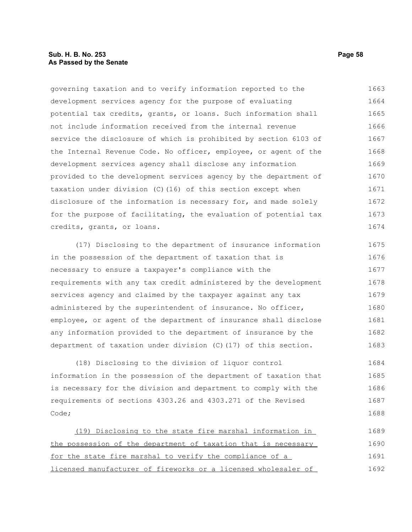### **Sub. H. B. No. 253 Page 58 As Passed by the Senate**

governing taxation and to verify information reported to the development services agency for the purpose of evaluating potential tax credits, grants, or loans. Such information shall not include information received from the internal revenue service the disclosure of which is prohibited by section 6103 of the Internal Revenue Code. No officer, employee, or agent of the development services agency shall disclose any information provided to the development services agency by the department of taxation under division (C)(16) of this section except when disclosure of the information is necessary for, and made solely for the purpose of facilitating, the evaluation of potential tax credits, grants, or loans. 1663 1664 1665 1666 1667 1668 1669 1670 1671 1672 1673 1674

(17) Disclosing to the department of insurance information in the possession of the department of taxation that is necessary to ensure a taxpayer's compliance with the requirements with any tax credit administered by the development services agency and claimed by the taxpayer against any tax administered by the superintendent of insurance. No officer, employee, or agent of the department of insurance shall disclose any information provided to the department of insurance by the department of taxation under division (C)(17) of this section. 1675 1676 1677 1678 1679 1680 1681 1682 1683

(18) Disclosing to the division of liquor control information in the possession of the department of taxation that is necessary for the division and department to comply with the requirements of sections 4303.26 and 4303.271 of the Revised Code; 1684 1685 1686 1687 1688

(19) Disclosing to the state fire marshal information in the possession of the department of taxation that is necessary for the state fire marshal to verify the compliance of a licensed manufacturer of fireworks or a licensed wholesaler of 1689 1690 1691 1692